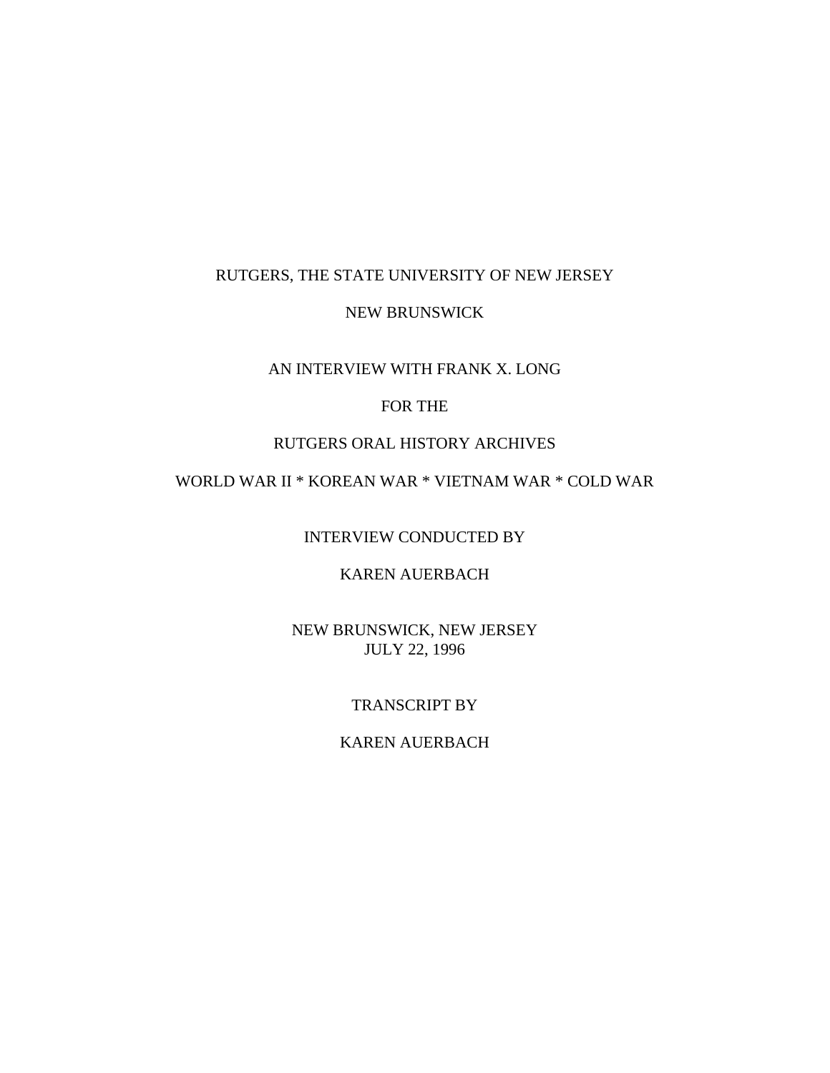## RUTGERS, THE STATE UNIVERSITY OF NEW JERSEY

#### NEW BRUNSWICK

## AN INTERVIEW WITH FRANK X. LONG

## FOR THE

## RUTGERS ORAL HISTORY ARCHIVES

# WORLD WAR II \* KOREAN WAR \* VIETNAM WAR \* COLD WAR

INTERVIEW CONDUCTED BY

KAREN AUERBACH

NEW BRUNSWICK, NEW JERSEY JULY 22, 1996

#### TRANSCRIPT BY

## KAREN AUERBACH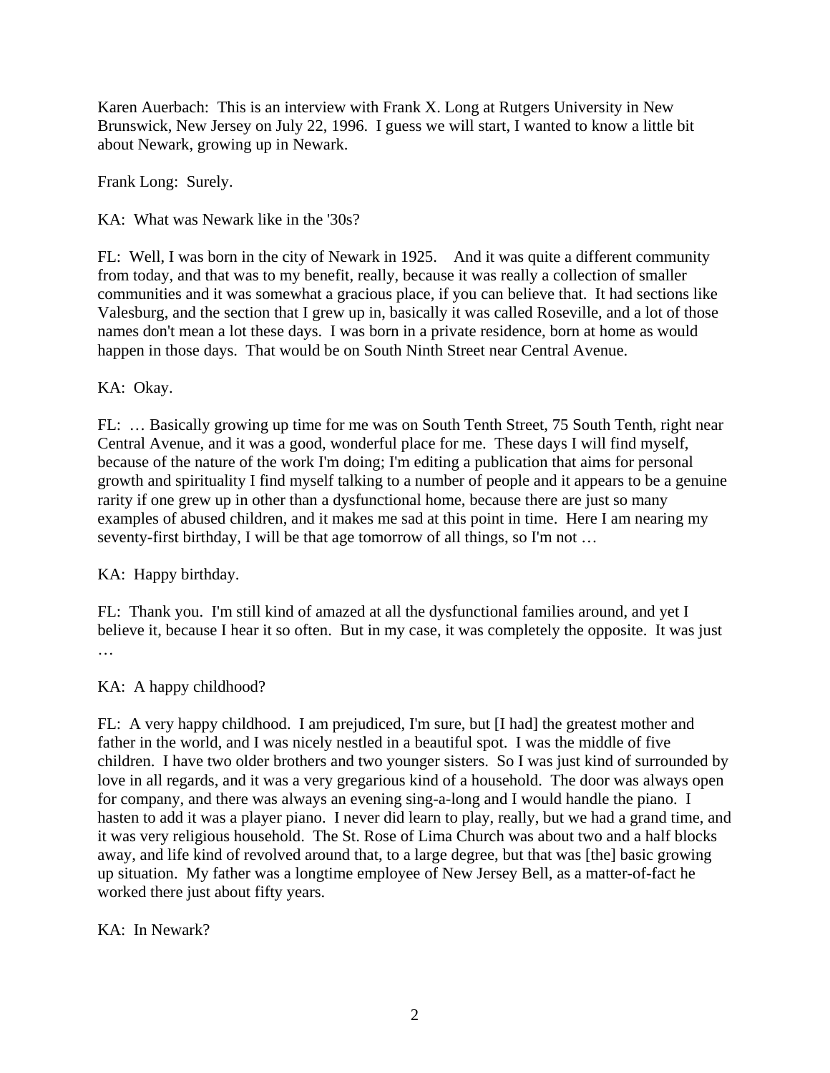Karen Auerbach: This is an interview with Frank X. Long at Rutgers University in New Brunswick, New Jersey on July 22, 1996. I guess we will start, I wanted to know a little bit about Newark, growing up in Newark.

Frank Long: Surely.

KA: What was Newark like in the '30s?

FL: Well, I was born in the city of Newark in 1925. And it was quite a different community from today, and that was to my benefit, really, because it was really a collection of smaller communities and it was somewhat a gracious place, if you can believe that. It had sections like Valesburg, and the section that I grew up in, basically it was called Roseville, and a lot of those names don't mean a lot these days. I was born in a private residence, born at home as would happen in those days. That would be on South Ninth Street near Central Avenue.

KA: Okay.

FL: … Basically growing up time for me was on South Tenth Street, 75 South Tenth, right near Central Avenue, and it was a good, wonderful place for me. These days I will find myself, because of the nature of the work I'm doing; I'm editing a publication that aims for personal growth and spirituality I find myself talking to a number of people and it appears to be a genuine rarity if one grew up in other than a dysfunctional home, because there are just so many examples of abused children, and it makes me sad at this point in time. Here I am nearing my seventy-first birthday, I will be that age tomorrow of all things, so I'm not …

KA: Happy birthday.

FL: Thank you. I'm still kind of amazed at all the dysfunctional families around, and yet I believe it, because I hear it so often. But in my case, it was completely the opposite. It was just …

KA: A happy childhood?

FL: A very happy childhood. I am prejudiced, I'm sure, but [I had] the greatest mother and father in the world, and I was nicely nestled in a beautiful spot. I was the middle of five children. I have two older brothers and two younger sisters. So I was just kind of surrounded by love in all regards, and it was a very gregarious kind of a household. The door was always open for company, and there was always an evening sing-a-long and I would handle the piano. I hasten to add it was a player piano. I never did learn to play, really, but we had a grand time, and it was very religious household. The St. Rose of Lima Church was about two and a half blocks away, and life kind of revolved around that, to a large degree, but that was [the] basic growing up situation. My father was a longtime employee of New Jersey Bell, as a matter-of-fact he worked there just about fifty years.

KA: In Newark?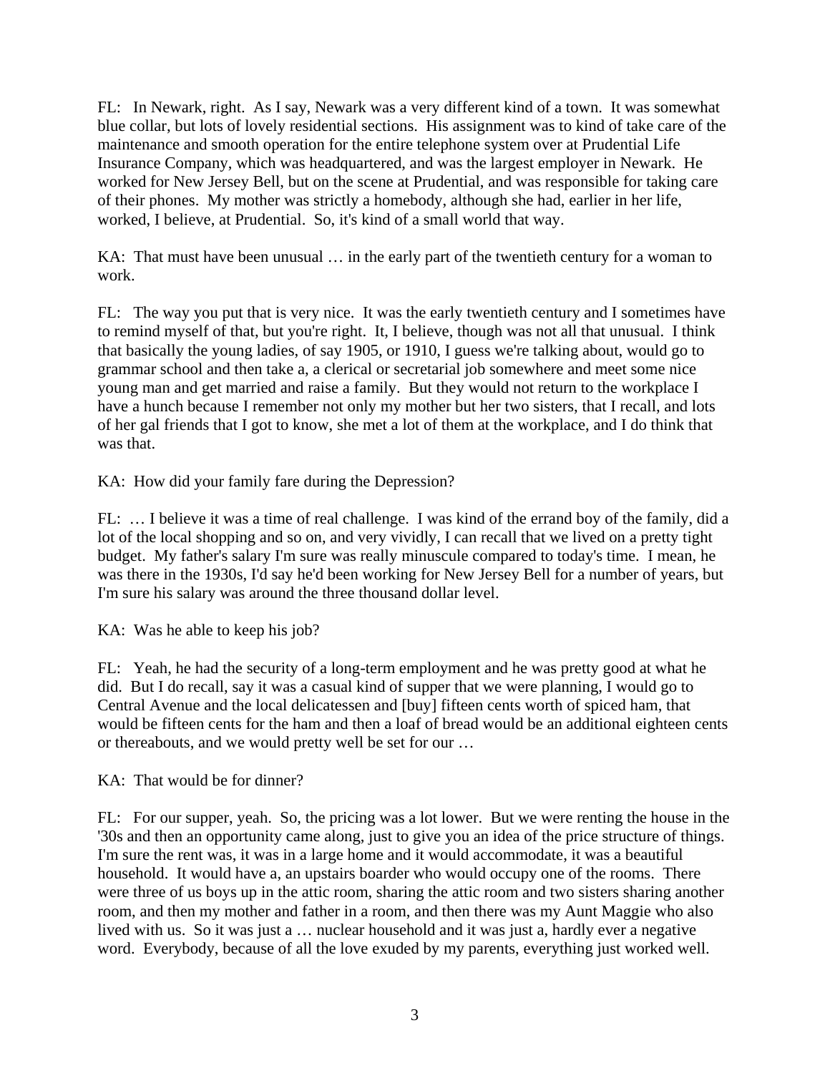FL: In Newark, right. As I say, Newark was a very different kind of a town. It was somewhat blue collar, but lots of lovely residential sections. His assignment was to kind of take care of the maintenance and smooth operation for the entire telephone system over at Prudential Life Insurance Company, which was headquartered, and was the largest employer in Newark. He worked for New Jersey Bell, but on the scene at Prudential, and was responsible for taking care of their phones. My mother was strictly a homebody, although she had, earlier in her life, worked, I believe, at Prudential. So, it's kind of a small world that way.

KA: That must have been unusual … in the early part of the twentieth century for a woman to work.

FL: The way you put that is very nice. It was the early twentieth century and I sometimes have to remind myself of that, but you're right. It, I believe, though was not all that unusual. I think that basically the young ladies, of say 1905, or 1910, I guess we're talking about, would go to grammar school and then take a, a clerical or secretarial job somewhere and meet some nice young man and get married and raise a family. But they would not return to the workplace I have a hunch because I remember not only my mother but her two sisters, that I recall, and lots of her gal friends that I got to know, she met a lot of them at the workplace, and I do think that was that.

KA: How did your family fare during the Depression?

FL: … I believe it was a time of real challenge. I was kind of the errand boy of the family, did a lot of the local shopping and so on, and very vividly, I can recall that we lived on a pretty tight budget. My father's salary I'm sure was really minuscule compared to today's time. I mean, he was there in the 1930s, I'd say he'd been working for New Jersey Bell for a number of years, but I'm sure his salary was around the three thousand dollar level.

KA: Was he able to keep his job?

FL: Yeah, he had the security of a long-term employment and he was pretty good at what he did. But I do recall, say it was a casual kind of supper that we were planning, I would go to Central Avenue and the local delicatessen and [buy] fifteen cents worth of spiced ham, that would be fifteen cents for the ham and then a loaf of bread would be an additional eighteen cents or thereabouts, and we would pretty well be set for our …

KA: That would be for dinner?

FL: For our supper, yeah. So, the pricing was a lot lower. But we were renting the house in the '30s and then an opportunity came along, just to give you an idea of the price structure of things. I'm sure the rent was, it was in a large home and it would accommodate, it was a beautiful household. It would have a, an upstairs boarder who would occupy one of the rooms. There were three of us boys up in the attic room, sharing the attic room and two sisters sharing another room, and then my mother and father in a room, and then there was my Aunt Maggie who also lived with us. So it was just a … nuclear household and it was just a, hardly ever a negative word. Everybody, because of all the love exuded by my parents, everything just worked well.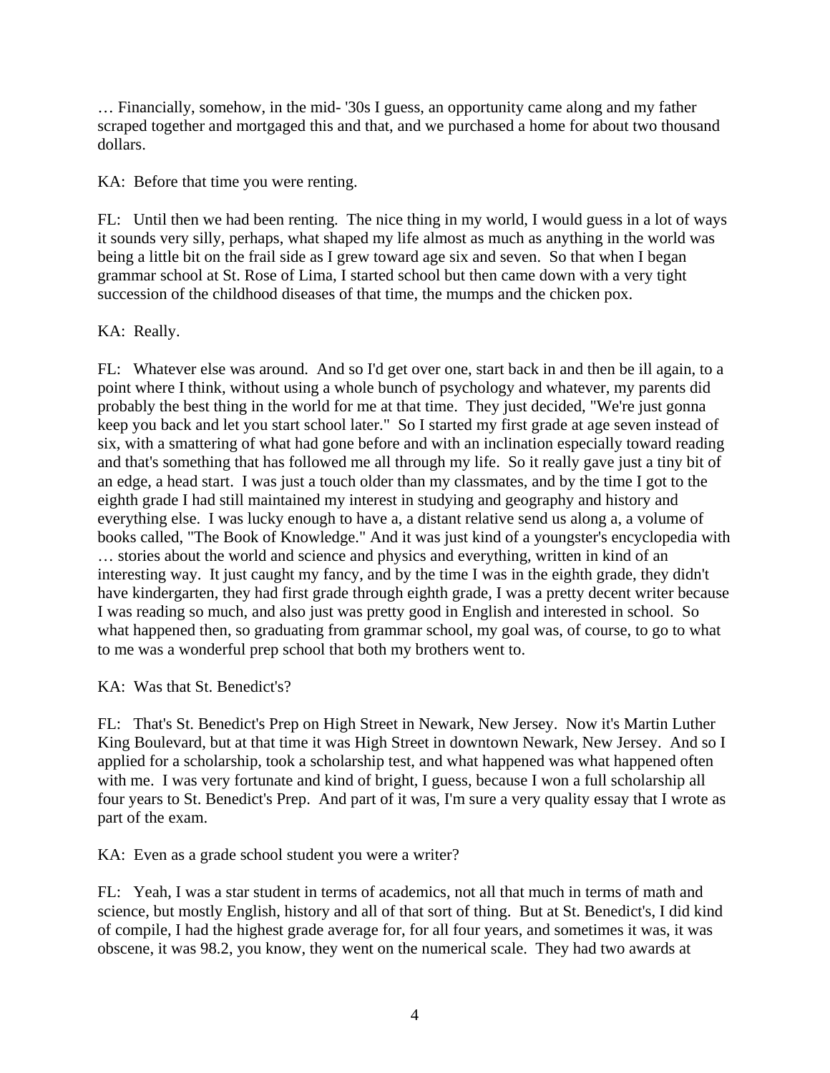… Financially, somehow, in the mid- '30s I guess, an opportunity came along and my father scraped together and mortgaged this and that, and we purchased a home for about two thousand dollars.

KA: Before that time you were renting.

FL: Until then we had been renting. The nice thing in my world, I would guess in a lot of ways it sounds very silly, perhaps, what shaped my life almost as much as anything in the world was being a little bit on the frail side as I grew toward age six and seven. So that when I began grammar school at St. Rose of Lima, I started school but then came down with a very tight succession of the childhood diseases of that time, the mumps and the chicken pox.

## KA: Really.

FL: Whatever else was around. And so I'd get over one, start back in and then be ill again, to a point where I think, without using a whole bunch of psychology and whatever, my parents did probably the best thing in the world for me at that time. They just decided, "We're just gonna keep you back and let you start school later." So I started my first grade at age seven instead of six, with a smattering of what had gone before and with an inclination especially toward reading and that's something that has followed me all through my life. So it really gave just a tiny bit of an edge, a head start. I was just a touch older than my classmates, and by the time I got to the eighth grade I had still maintained my interest in studying and geography and history and everything else. I was lucky enough to have a, a distant relative send us along a, a volume of books called, "The Book of Knowledge." And it was just kind of a youngster's encyclopedia with … stories about the world and science and physics and everything, written in kind of an interesting way. It just caught my fancy, and by the time I was in the eighth grade, they didn't have kindergarten, they had first grade through eighth grade, I was a pretty decent writer because I was reading so much, and also just was pretty good in English and interested in school. So what happened then, so graduating from grammar school, my goal was, of course, to go to what to me was a wonderful prep school that both my brothers went to.

KA: Was that St. Benedict's?

FL: That's St. Benedict's Prep on High Street in Newark, New Jersey. Now it's Martin Luther King Boulevard, but at that time it was High Street in downtown Newark, New Jersey. And so I applied for a scholarship, took a scholarship test, and what happened was what happened often with me. I was very fortunate and kind of bright, I guess, because I won a full scholarship all four years to St. Benedict's Prep. And part of it was, I'm sure a very quality essay that I wrote as part of the exam.

KA: Even as a grade school student you were a writer?

FL: Yeah, I was a star student in terms of academics, not all that much in terms of math and science, but mostly English, history and all of that sort of thing. But at St. Benedict's, I did kind of compile, I had the highest grade average for, for all four years, and sometimes it was, it was obscene, it was 98.2, you know, they went on the numerical scale. They had two awards at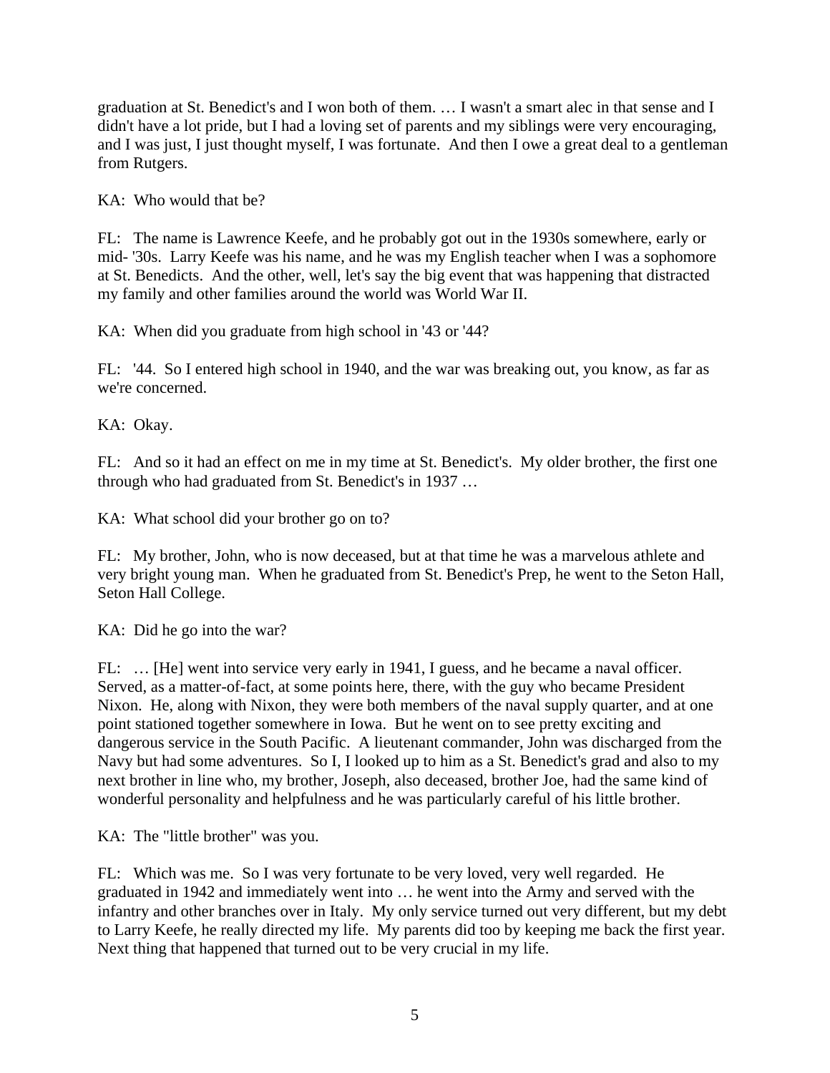graduation at St. Benedict's and I won both of them. … I wasn't a smart alec in that sense and I didn't have a lot pride, but I had a loving set of parents and my siblings were very encouraging, and I was just, I just thought myself, I was fortunate. And then I owe a great deal to a gentleman from Rutgers.

KA: Who would that be?

FL: The name is Lawrence Keefe, and he probably got out in the 1930s somewhere, early or mid- '30s. Larry Keefe was his name, and he was my English teacher when I was a sophomore at St. Benedicts. And the other, well, let's say the big event that was happening that distracted my family and other families around the world was World War II.

KA: When did you graduate from high school in '43 or '44?

FL: '44. So I entered high school in 1940, and the war was breaking out, you know, as far as we're concerned.

KA: Okay.

FL: And so it had an effect on me in my time at St. Benedict's. My older brother, the first one through who had graduated from St. Benedict's in 1937 …

KA: What school did your brother go on to?

FL: My brother, John, who is now deceased, but at that time he was a marvelous athlete and very bright young man. When he graduated from St. Benedict's Prep, he went to the Seton Hall, Seton Hall College.

KA: Did he go into the war?

FL: … [He] went into service very early in 1941, I guess, and he became a naval officer. Served, as a matter-of-fact, at some points here, there, with the guy who became President Nixon. He, along with Nixon, they were both members of the naval supply quarter, and at one point stationed together somewhere in Iowa. But he went on to see pretty exciting and dangerous service in the South Pacific. A lieutenant commander, John was discharged from the Navy but had some adventures. So I, I looked up to him as a St. Benedict's grad and also to my next brother in line who, my brother, Joseph, also deceased, brother Joe, had the same kind of wonderful personality and helpfulness and he was particularly careful of his little brother.

KA: The "little brother" was you.

FL: Which was me. So I was very fortunate to be very loved, very well regarded. He graduated in 1942 and immediately went into … he went into the Army and served with the infantry and other branches over in Italy. My only service turned out very different, but my debt to Larry Keefe, he really directed my life. My parents did too by keeping me back the first year. Next thing that happened that turned out to be very crucial in my life.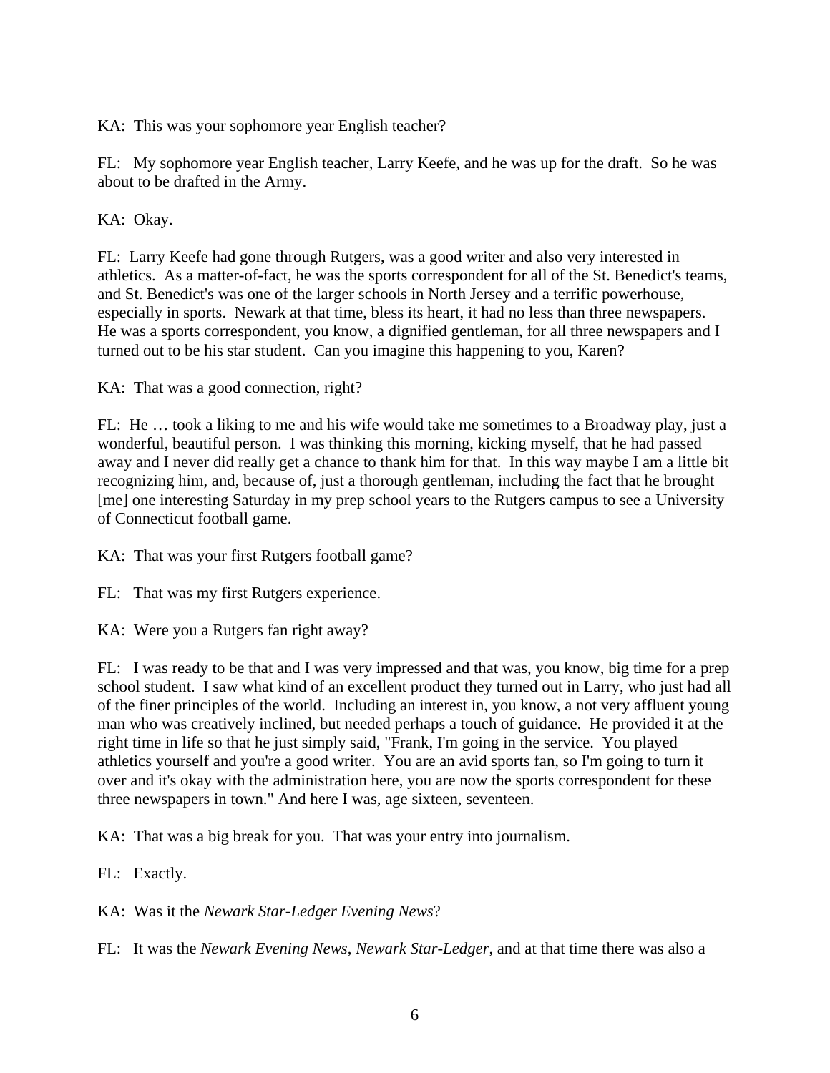KA: This was your sophomore year English teacher?

FL: My sophomore year English teacher, Larry Keefe, and he was up for the draft. So he was about to be drafted in the Army.

KA: Okay.

FL: Larry Keefe had gone through Rutgers, was a good writer and also very interested in athletics. As a matter-of-fact, he was the sports correspondent for all of the St. Benedict's teams, and St. Benedict's was one of the larger schools in North Jersey and a terrific powerhouse, especially in sports. Newark at that time, bless its heart, it had no less than three newspapers. He was a sports correspondent, you know, a dignified gentleman, for all three newspapers and I turned out to be his star student. Can you imagine this happening to you, Karen?

KA: That was a good connection, right?

FL: He … took a liking to me and his wife would take me sometimes to a Broadway play, just a wonderful, beautiful person. I was thinking this morning, kicking myself, that he had passed away and I never did really get a chance to thank him for that. In this way maybe I am a little bit recognizing him, and, because of, just a thorough gentleman, including the fact that he brought [me] one interesting Saturday in my prep school years to the Rutgers campus to see a University of Connecticut football game.

KA: That was your first Rutgers football game?

FL: That was my first Rutgers experience.

KA: Were you a Rutgers fan right away?

FL: I was ready to be that and I was very impressed and that was, you know, big time for a prep school student. I saw what kind of an excellent product they turned out in Larry, who just had all of the finer principles of the world. Including an interest in, you know, a not very affluent young man who was creatively inclined, but needed perhaps a touch of guidance. He provided it at the right time in life so that he just simply said, "Frank, I'm going in the service. You played athletics yourself and you're a good writer. You are an avid sports fan, so I'm going to turn it over and it's okay with the administration here, you are now the sports correspondent for these three newspapers in town." And here I was, age sixteen, seventeen.

KA: That was a big break for you. That was your entry into journalism.

FL: Exactly.

KA: Was it the *Newark Star-Ledger Evening News*?

FL: It was the *Newark Evening News*, *Newark Star-Ledger*, and at that time there was also a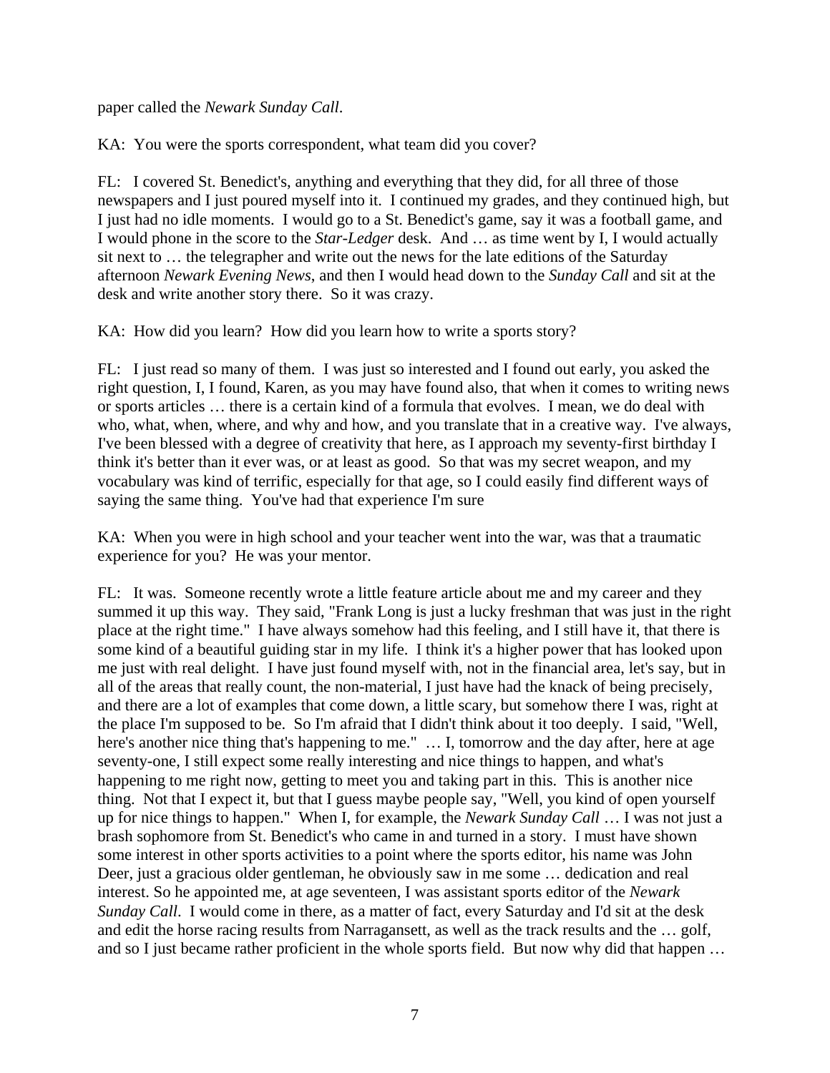paper called the *Newark Sunday Call*.

KA: You were the sports correspondent, what team did you cover?

FL: I covered St. Benedict's, anything and everything that they did, for all three of those newspapers and I just poured myself into it. I continued my grades, and they continued high, but I just had no idle moments. I would go to a St. Benedict's game, say it was a football game, and I would phone in the score to the *Star-Ledger* desk. And … as time went by I, I would actually sit next to … the telegrapher and write out the news for the late editions of the Saturday afternoon *Newark Evening News*, and then I would head down to the *Sunday Call* and sit at the desk and write another story there. So it was crazy.

KA: How did you learn? How did you learn how to write a sports story?

FL: I just read so many of them. I was just so interested and I found out early, you asked the right question, I, I found, Karen, as you may have found also, that when it comes to writing news or sports articles … there is a certain kind of a formula that evolves. I mean, we do deal with who, what, when, where, and why and how, and you translate that in a creative way. I've always, I've been blessed with a degree of creativity that here, as I approach my seventy-first birthday I think it's better than it ever was, or at least as good. So that was my secret weapon, and my vocabulary was kind of terrific, especially for that age, so I could easily find different ways of saying the same thing. You've had that experience I'm sure

KA: When you were in high school and your teacher went into the war, was that a traumatic experience for you? He was your mentor.

FL: It was. Someone recently wrote a little feature article about me and my career and they summed it up this way. They said, "Frank Long is just a lucky freshman that was just in the right place at the right time." I have always somehow had this feeling, and I still have it, that there is some kind of a beautiful guiding star in my life. I think it's a higher power that has looked upon me just with real delight. I have just found myself with, not in the financial area, let's say, but in all of the areas that really count, the non-material, I just have had the knack of being precisely, and there are a lot of examples that come down, a little scary, but somehow there I was, right at the place I'm supposed to be. So I'm afraid that I didn't think about it too deeply. I said, "Well, here's another nice thing that's happening to me." ... I, tomorrow and the day after, here at age seventy-one, I still expect some really interesting and nice things to happen, and what's happening to me right now, getting to meet you and taking part in this. This is another nice thing. Not that I expect it, but that I guess maybe people say, "Well, you kind of open yourself up for nice things to happen." When I, for example, the *Newark Sunday Call* … I was not just a brash sophomore from St. Benedict's who came in and turned in a story. I must have shown some interest in other sports activities to a point where the sports editor, his name was John Deer, just a gracious older gentleman, he obviously saw in me some … dedication and real interest. So he appointed me, at age seventeen, I was assistant sports editor of the *Newark Sunday Call*. I would come in there, as a matter of fact, every Saturday and I'd sit at the desk and edit the horse racing results from Narragansett, as well as the track results and the … golf, and so I just became rather proficient in the whole sports field. But now why did that happen …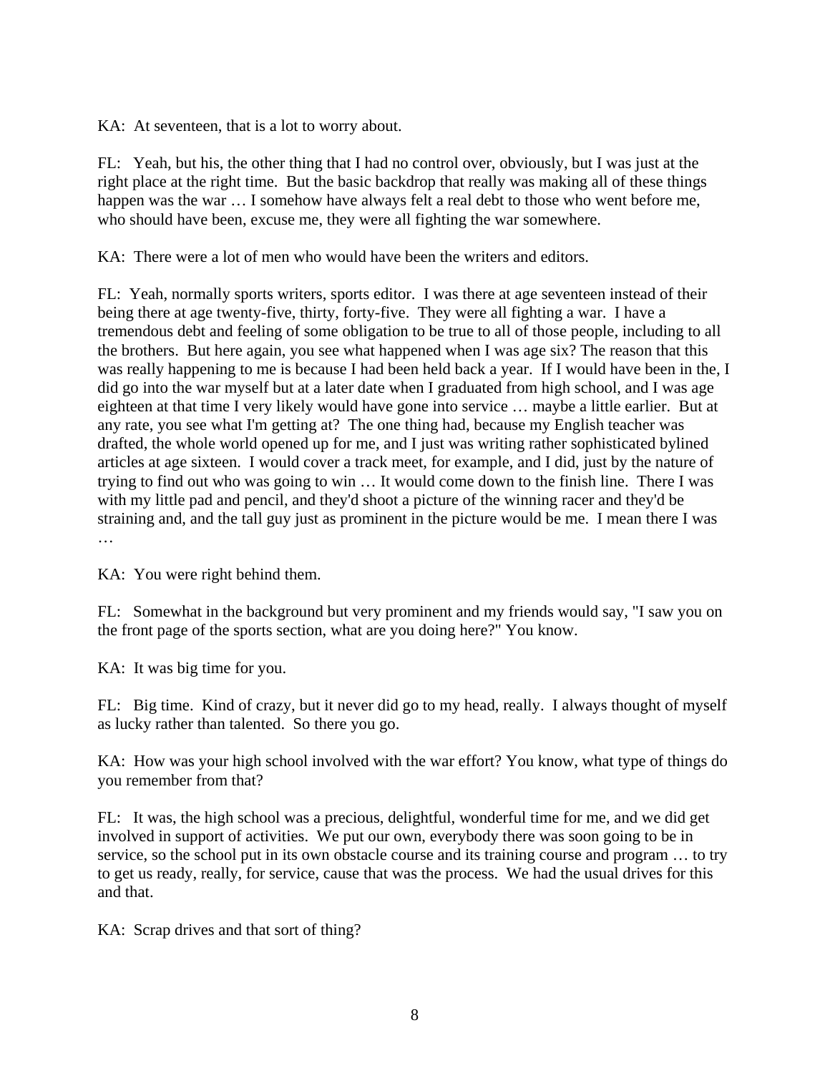KA: At seventeen, that is a lot to worry about.

FL: Yeah, but his, the other thing that I had no control over, obviously, but I was just at the right place at the right time. But the basic backdrop that really was making all of these things happen was the war ... I somehow have always felt a real debt to those who went before me, who should have been, excuse me, they were all fighting the war somewhere.

KA: There were a lot of men who would have been the writers and editors.

FL: Yeah, normally sports writers, sports editor. I was there at age seventeen instead of their being there at age twenty-five, thirty, forty-five. They were all fighting a war. I have a tremendous debt and feeling of some obligation to be true to all of those people, including to all the brothers. But here again, you see what happened when I was age six? The reason that this was really happening to me is because I had been held back a year. If I would have been in the, I did go into the war myself but at a later date when I graduated from high school, and I was age eighteen at that time I very likely would have gone into service … maybe a little earlier. But at any rate, you see what I'm getting at? The one thing had, because my English teacher was drafted, the whole world opened up for me, and I just was writing rather sophisticated bylined articles at age sixteen. I would cover a track meet, for example, and I did, just by the nature of trying to find out who was going to win … It would come down to the finish line. There I was with my little pad and pencil, and they'd shoot a picture of the winning racer and they'd be straining and, and the tall guy just as prominent in the picture would be me. I mean there I was …

KA: You were right behind them.

FL: Somewhat in the background but very prominent and my friends would say, "I saw you on the front page of the sports section, what are you doing here?" You know.

KA: It was big time for you.

FL: Big time. Kind of crazy, but it never did go to my head, really. I always thought of myself as lucky rather than talented. So there you go.

KA: How was your high school involved with the war effort? You know, what type of things do you remember from that?

FL: It was, the high school was a precious, delightful, wonderful time for me, and we did get involved in support of activities. We put our own, everybody there was soon going to be in service, so the school put in its own obstacle course and its training course and program … to try to get us ready, really, for service, cause that was the process. We had the usual drives for this and that.

KA: Scrap drives and that sort of thing?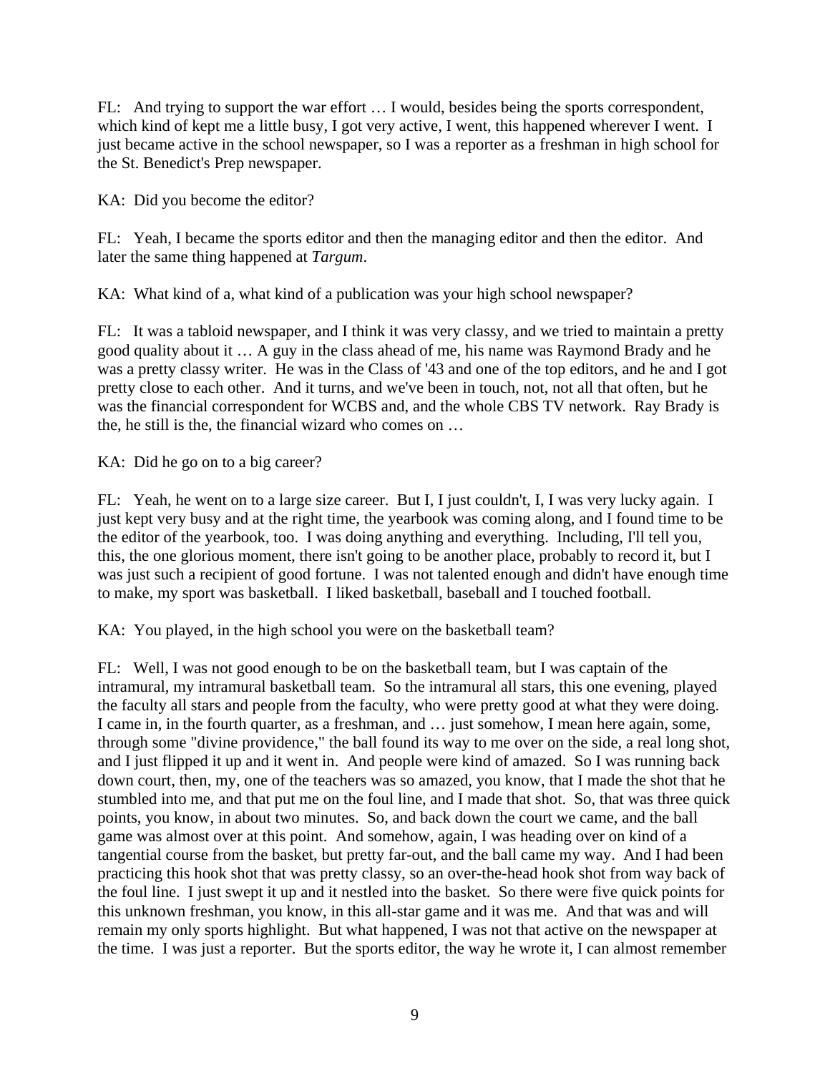FL: And trying to support the war effort … I would, besides being the sports correspondent, which kind of kept me a little busy, I got very active, I went, this happened wherever I went. I just became active in the school newspaper, so I was a reporter as a freshman in high school for the St. Benedict's Prep newspaper.

KA: Did you become the editor?

FL: Yeah, I became the sports editor and then the managing editor and then the editor. And later the same thing happened at *Targum*.

KA: What kind of a, what kind of a publication was your high school newspaper?

FL: It was a tabloid newspaper, and I think it was very classy, and we tried to maintain a pretty good quality about it … A guy in the class ahead of me, his name was Raymond Brady and he was a pretty classy writer. He was in the Class of '43 and one of the top editors, and he and I got pretty close to each other. And it turns, and we've been in touch, not, not all that often, but he was the financial correspondent for WCBS and, and the whole CBS TV network. Ray Brady is the, he still is the, the financial wizard who comes on …

KA: Did he go on to a big career?

FL: Yeah, he went on to a large size career. But I, I just couldn't, I, I was very lucky again. I just kept very busy and at the right time, the yearbook was coming along, and I found time to be the editor of the yearbook, too. I was doing anything and everything. Including, I'll tell you, this, the one glorious moment, there isn't going to be another place, probably to record it, but I was just such a recipient of good fortune. I was not talented enough and didn't have enough time to make, my sport was basketball. I liked basketball, baseball and I touched football.

KA: You played, in the high school you were on the basketball team?

FL: Well, I was not good enough to be on the basketball team, but I was captain of the intramural, my intramural basketball team. So the intramural all stars, this one evening, played the faculty all stars and people from the faculty, who were pretty good at what they were doing. I came in, in the fourth quarter, as a freshman, and … just somehow, I mean here again, some, through some "divine providence," the ball found its way to me over on the side, a real long shot, and I just flipped it up and it went in. And people were kind of amazed. So I was running back down court, then, my, one of the teachers was so amazed, you know, that I made the shot that he stumbled into me, and that put me on the foul line, and I made that shot. So, that was three quick points, you know, in about two minutes. So, and back down the court we came, and the ball game was almost over at this point. And somehow, again, I was heading over on kind of a tangential course from the basket, but pretty far-out, and the ball came my way. And I had been practicing this hook shot that was pretty classy, so an over-the-head hook shot from way back of the foul line. I just swept it up and it nestled into the basket. So there were five quick points for this unknown freshman, you know, in this all-star game and it was me. And that was and will remain my only sports highlight. But what happened, I was not that active on the newspaper at the time. I was just a reporter. But the sports editor, the way he wrote it, I can almost remember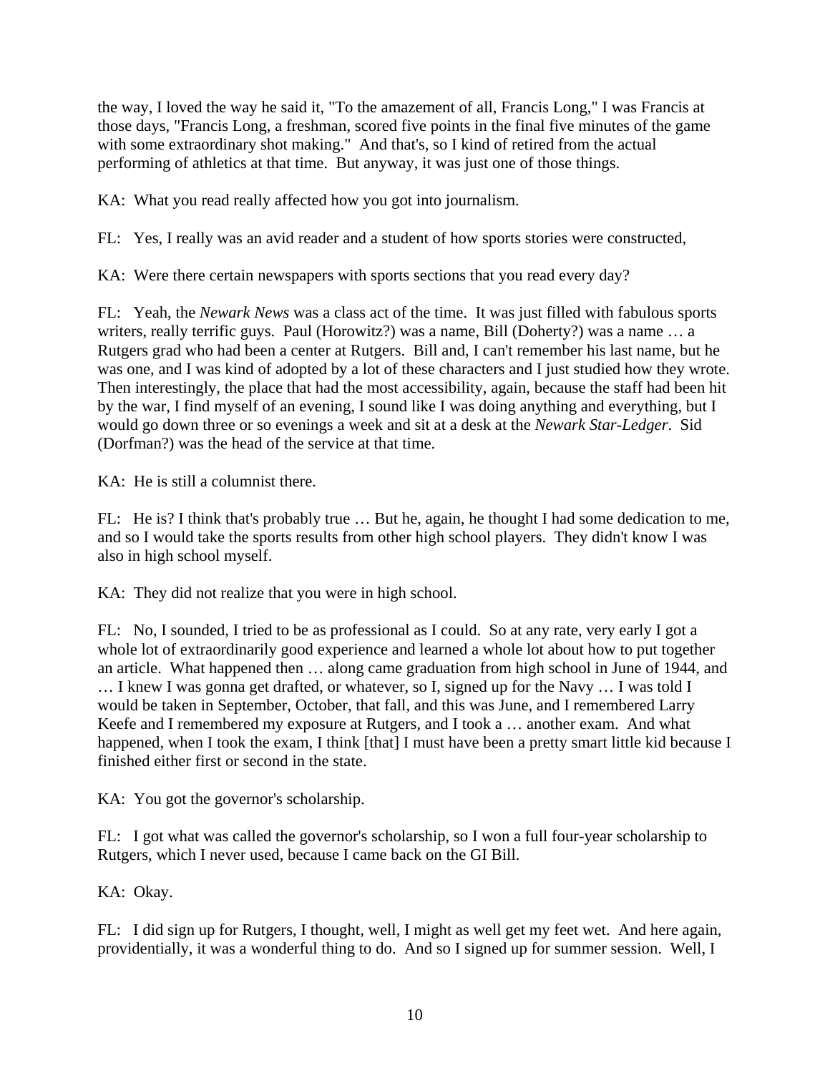the way, I loved the way he said it, "To the amazement of all, Francis Long," I was Francis at those days, "Francis Long, a freshman, scored five points in the final five minutes of the game with some extraordinary shot making." And that's, so I kind of retired from the actual performing of athletics at that time. But anyway, it was just one of those things.

KA: What you read really affected how you got into journalism.

FL: Yes, I really was an avid reader and a student of how sports stories were constructed,

KA: Were there certain newspapers with sports sections that you read every day?

FL: Yeah, the *Newark News* was a class act of the time. It was just filled with fabulous sports writers, really terrific guys. Paul (Horowitz?) was a name, Bill (Doherty?) was a name ... a Rutgers grad who had been a center at Rutgers. Bill and, I can't remember his last name, but he was one, and I was kind of adopted by a lot of these characters and I just studied how they wrote. Then interestingly, the place that had the most accessibility, again, because the staff had been hit by the war, I find myself of an evening, I sound like I was doing anything and everything, but I would go down three or so evenings a week and sit at a desk at the *Newark Star-Ledger*. Sid (Dorfman?) was the head of the service at that time.

KA: He is still a columnist there.

FL: He is? I think that's probably true … But he, again, he thought I had some dedication to me, and so I would take the sports results from other high school players. They didn't know I was also in high school myself.

KA: They did not realize that you were in high school.

FL: No, I sounded, I tried to be as professional as I could. So at any rate, very early I got a whole lot of extraordinarily good experience and learned a whole lot about how to put together an article. What happened then … along came graduation from high school in June of 1944, and … I knew I was gonna get drafted, or whatever, so I, signed up for the Navy … I was told I would be taken in September, October, that fall, and this was June, and I remembered Larry Keefe and I remembered my exposure at Rutgers, and I took a … another exam. And what happened, when I took the exam, I think [that] I must have been a pretty smart little kid because I finished either first or second in the state.

KA: You got the governor's scholarship.

FL: I got what was called the governor's scholarship, so I won a full four-year scholarship to Rutgers, which I never used, because I came back on the GI Bill.

KA: Okay.

FL: I did sign up for Rutgers, I thought, well, I might as well get my feet wet. And here again, providentially, it was a wonderful thing to do. And so I signed up for summer session. Well, I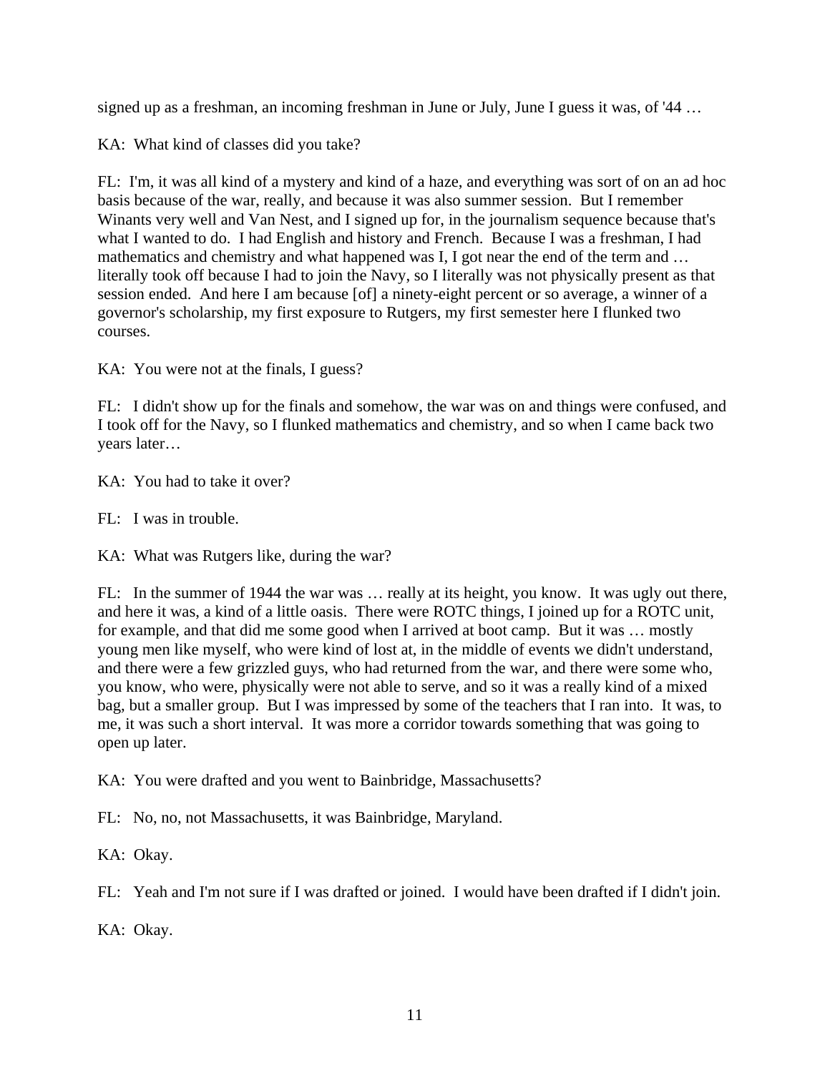signed up as a freshman, an incoming freshman in June or July, June I guess it was, of '44 …

KA: What kind of classes did you take?

FL: I'm, it was all kind of a mystery and kind of a haze, and everything was sort of on an ad hoc basis because of the war, really, and because it was also summer session. But I remember Winants very well and Van Nest, and I signed up for, in the journalism sequence because that's what I wanted to do. I had English and history and French. Because I was a freshman, I had mathematics and chemistry and what happened was I, I got near the end of the term and … literally took off because I had to join the Navy, so I literally was not physically present as that session ended. And here I am because [of] a ninety-eight percent or so average, a winner of a governor's scholarship, my first exposure to Rutgers, my first semester here I flunked two courses.

KA: You were not at the finals, I guess?

FL: I didn't show up for the finals and somehow, the war was on and things were confused, and I took off for the Navy, so I flunked mathematics and chemistry, and so when I came back two years later…

KA: You had to take it over?

FL: I was in trouble.

KA: What was Rutgers like, during the war?

FL: In the summer of 1944 the war was … really at its height, you know. It was ugly out there, and here it was, a kind of a little oasis. There were ROTC things, I joined up for a ROTC unit, for example, and that did me some good when I arrived at boot camp. But it was … mostly young men like myself, who were kind of lost at, in the middle of events we didn't understand, and there were a few grizzled guys, who had returned from the war, and there were some who, you know, who were, physically were not able to serve, and so it was a really kind of a mixed bag, but a smaller group. But I was impressed by some of the teachers that I ran into. It was, to me, it was such a short interval. It was more a corridor towards something that was going to open up later.

KA: You were drafted and you went to Bainbridge, Massachusetts?

FL: No, no, not Massachusetts, it was Bainbridge, Maryland.

KA: Okay.

FL: Yeah and I'm not sure if I was drafted or joined. I would have been drafted if I didn't join.

KA: Okay.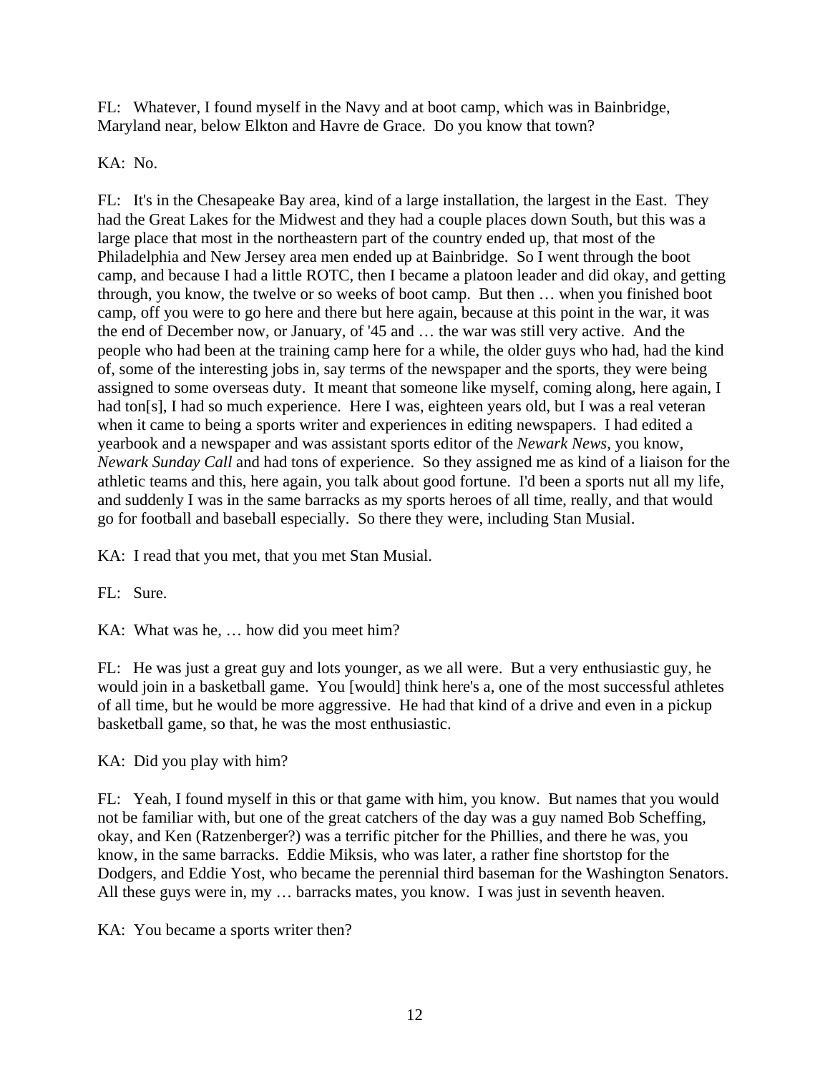FL: Whatever, I found myself in the Navy and at boot camp, which was in Bainbridge, Maryland near, below Elkton and Havre de Grace. Do you know that town?

KA: No.

FL: It's in the Chesapeake Bay area, kind of a large installation, the largest in the East. They had the Great Lakes for the Midwest and they had a couple places down South, but this was a large place that most in the northeastern part of the country ended up, that most of the Philadelphia and New Jersey area men ended up at Bainbridge. So I went through the boot camp, and because I had a little ROTC, then I became a platoon leader and did okay, and getting through, you know, the twelve or so weeks of boot camp. But then … when you finished boot camp, off you were to go here and there but here again, because at this point in the war, it was the end of December now, or January, of '45 and … the war was still very active. And the people who had been at the training camp here for a while, the older guys who had, had the kind of, some of the interesting jobs in, say terms of the newspaper and the sports, they were being assigned to some overseas duty. It meant that someone like myself, coming along, here again, I had ton[s], I had so much experience. Here I was, eighteen years old, but I was a real veteran when it came to being a sports writer and experiences in editing newspapers. I had edited a yearbook and a newspaper and was assistant sports editor of the *Newark News*, you know, *Newark Sunday Call* and had tons of experience. So they assigned me as kind of a liaison for the athletic teams and this, here again, you talk about good fortune. I'd been a sports nut all my life, and suddenly I was in the same barracks as my sports heroes of all time, really, and that would go for football and baseball especially. So there they were, including Stan Musial.

KA: I read that you met, that you met Stan Musial.

FL: Sure.

KA: What was he, … how did you meet him?

FL: He was just a great guy and lots younger, as we all were. But a very enthusiastic guy, he would join in a basketball game. You [would] think here's a, one of the most successful athletes of all time, but he would be more aggressive. He had that kind of a drive and even in a pickup basketball game, so that, he was the most enthusiastic.

KA: Did you play with him?

FL: Yeah, I found myself in this or that game with him, you know. But names that you would not be familiar with, but one of the great catchers of the day was a guy named Bob Scheffing, okay, and Ken (Ratzenberger?) was a terrific pitcher for the Phillies, and there he was, you know, in the same barracks. Eddie Miksis, who was later, a rather fine shortstop for the Dodgers, and Eddie Yost, who became the perennial third baseman for the Washington Senators. All these guys were in, my … barracks mates, you know. I was just in seventh heaven.

KA: You became a sports writer then?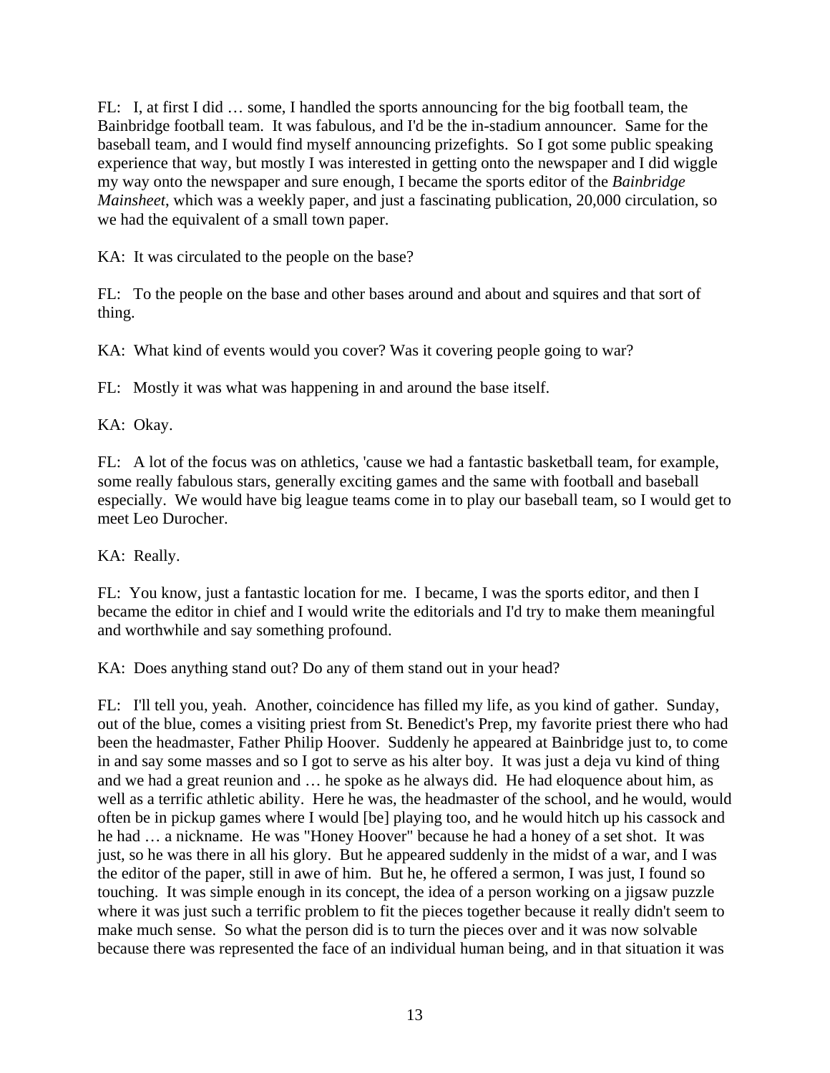FL: I, at first I did … some, I handled the sports announcing for the big football team, the Bainbridge football team. It was fabulous, and I'd be the in-stadium announcer. Same for the baseball team, and I would find myself announcing prizefights. So I got some public speaking experience that way, but mostly I was interested in getting onto the newspaper and I did wiggle my way onto the newspaper and sure enough, I became the sports editor of the *Bainbridge Mainsheet*, which was a weekly paper, and just a fascinating publication, 20,000 circulation, so we had the equivalent of a small town paper.

KA: It was circulated to the people on the base?

FL: To the people on the base and other bases around and about and squires and that sort of thing.

KA: What kind of events would you cover? Was it covering people going to war?

FL: Mostly it was what was happening in and around the base itself.

KA: Okay.

FL: A lot of the focus was on athletics, 'cause we had a fantastic basketball team, for example, some really fabulous stars, generally exciting games and the same with football and baseball especially. We would have big league teams come in to play our baseball team, so I would get to meet Leo Durocher.

KA: Really.

FL: You know, just a fantastic location for me. I became, I was the sports editor, and then I became the editor in chief and I would write the editorials and I'd try to make them meaningful and worthwhile and say something profound.

KA: Does anything stand out? Do any of them stand out in your head?

FL: I'll tell you, yeah. Another, coincidence has filled my life, as you kind of gather. Sunday, out of the blue, comes a visiting priest from St. Benedict's Prep, my favorite priest there who had been the headmaster, Father Philip Hoover. Suddenly he appeared at Bainbridge just to, to come in and say some masses and so I got to serve as his alter boy. It was just a deja vu kind of thing and we had a great reunion and … he spoke as he always did. He had eloquence about him, as well as a terrific athletic ability. Here he was, the headmaster of the school, and he would, would often be in pickup games where I would [be] playing too, and he would hitch up his cassock and he had … a nickname. He was "Honey Hoover" because he had a honey of a set shot. It was just, so he was there in all his glory. But he appeared suddenly in the midst of a war, and I was the editor of the paper, still in awe of him. But he, he offered a sermon, I was just, I found so touching. It was simple enough in its concept, the idea of a person working on a jigsaw puzzle where it was just such a terrific problem to fit the pieces together because it really didn't seem to make much sense. So what the person did is to turn the pieces over and it was now solvable because there was represented the face of an individual human being, and in that situation it was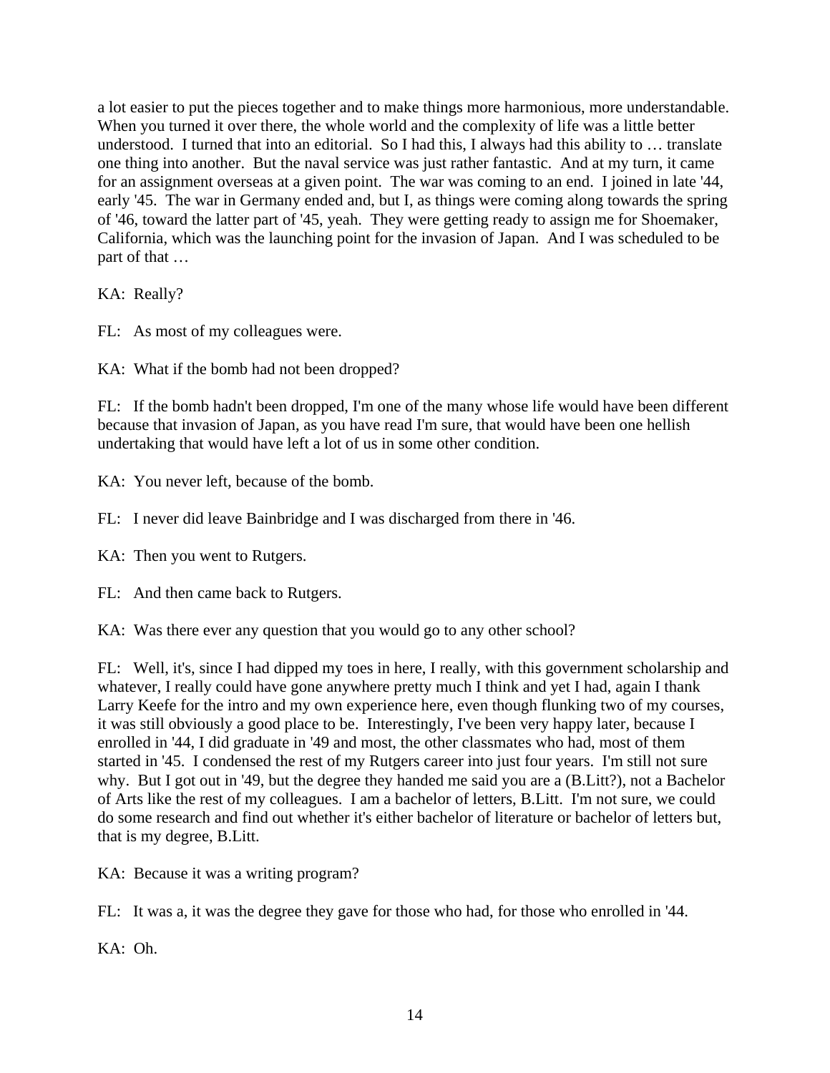a lot easier to put the pieces together and to make things more harmonious, more understandable. When you turned it over there, the whole world and the complexity of life was a little better understood. I turned that into an editorial. So I had this, I always had this ability to … translate one thing into another. But the naval service was just rather fantastic. And at my turn, it came for an assignment overseas at a given point. The war was coming to an end. I joined in late '44, early '45. The war in Germany ended and, but I, as things were coming along towards the spring of '46, toward the latter part of '45, yeah. They were getting ready to assign me for Shoemaker, California, which was the launching point for the invasion of Japan. And I was scheduled to be part of that …

KA: Really?

FL: As most of my colleagues were.

KA: What if the bomb had not been dropped?

FL: If the bomb hadn't been dropped, I'm one of the many whose life would have been different because that invasion of Japan, as you have read I'm sure, that would have been one hellish undertaking that would have left a lot of us in some other condition.

KA: You never left, because of the bomb.

FL: I never did leave Bainbridge and I was discharged from there in '46.

KA: Then you went to Rutgers.

FL: And then came back to Rutgers.

KA: Was there ever any question that you would go to any other school?

FL: Well, it's, since I had dipped my toes in here, I really, with this government scholarship and whatever, I really could have gone anywhere pretty much I think and yet I had, again I thank Larry Keefe for the intro and my own experience here, even though flunking two of my courses, it was still obviously a good place to be. Interestingly, I've been very happy later, because I enrolled in '44, I did graduate in '49 and most, the other classmates who had, most of them started in '45. I condensed the rest of my Rutgers career into just four years. I'm still not sure why. But I got out in '49, but the degree they handed me said you are a (B.Litt?), not a Bachelor of Arts like the rest of my colleagues. I am a bachelor of letters, B.Litt. I'm not sure, we could do some research and find out whether it's either bachelor of literature or bachelor of letters but, that is my degree, B.Litt.

KA: Because it was a writing program?

FL: It was a, it was the degree they gave for those who had, for those who enrolled in '44.

KA: Oh.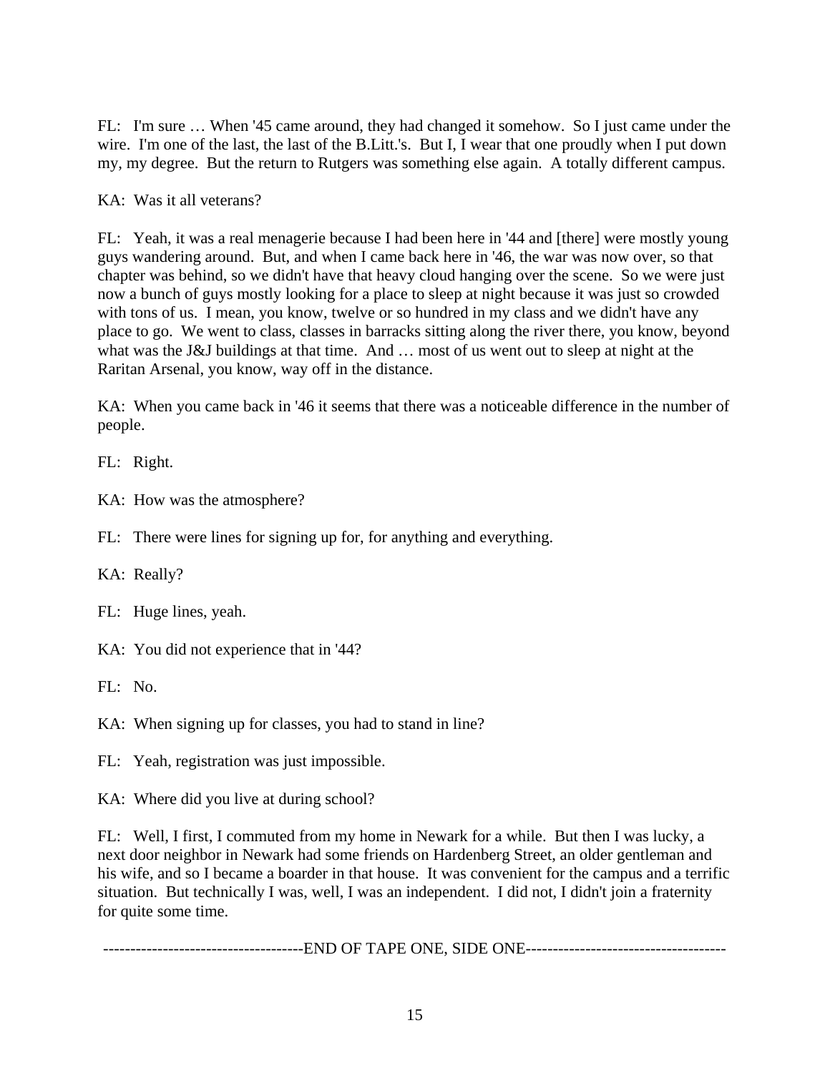FL: I'm sure … When '45 came around, they had changed it somehow. So I just came under the wire. I'm one of the last, the last of the B.Litt.'s. But I, I wear that one proudly when I put down my, my degree. But the return to Rutgers was something else again. A totally different campus.

KA: Was it all veterans?

FL: Yeah, it was a real menagerie because I had been here in '44 and [there] were mostly young guys wandering around. But, and when I came back here in '46, the war was now over, so that chapter was behind, so we didn't have that heavy cloud hanging over the scene. So we were just now a bunch of guys mostly looking for a place to sleep at night because it was just so crowded with tons of us. I mean, you know, twelve or so hundred in my class and we didn't have any place to go. We went to class, classes in barracks sitting along the river there, you know, beyond what was the J&J buildings at that time. And … most of us went out to sleep at night at the Raritan Arsenal, you know, way off in the distance.

KA: When you came back in '46 it seems that there was a noticeable difference in the number of people.

FL: Right.

KA: How was the atmosphere?

FL: There were lines for signing up for, for anything and everything.

KA: Really?

FL: Huge lines, yeah.

KA: You did not experience that in '44?

FL: No.

KA: When signing up for classes, you had to stand in line?

FL: Yeah, registration was just impossible.

KA: Where did you live at during school?

FL: Well, I first, I commuted from my home in Newark for a while. But then I was lucky, a next door neighbor in Newark had some friends on Hardenberg Street, an older gentleman and his wife, and so I became a boarder in that house. It was convenient for the campus and a terrific situation. But technically I was, well, I was an independent. I did not, I didn't join a fraternity for quite some time.

-------------------------------------END OF TAPE ONE, SIDE ONE-------------------------------------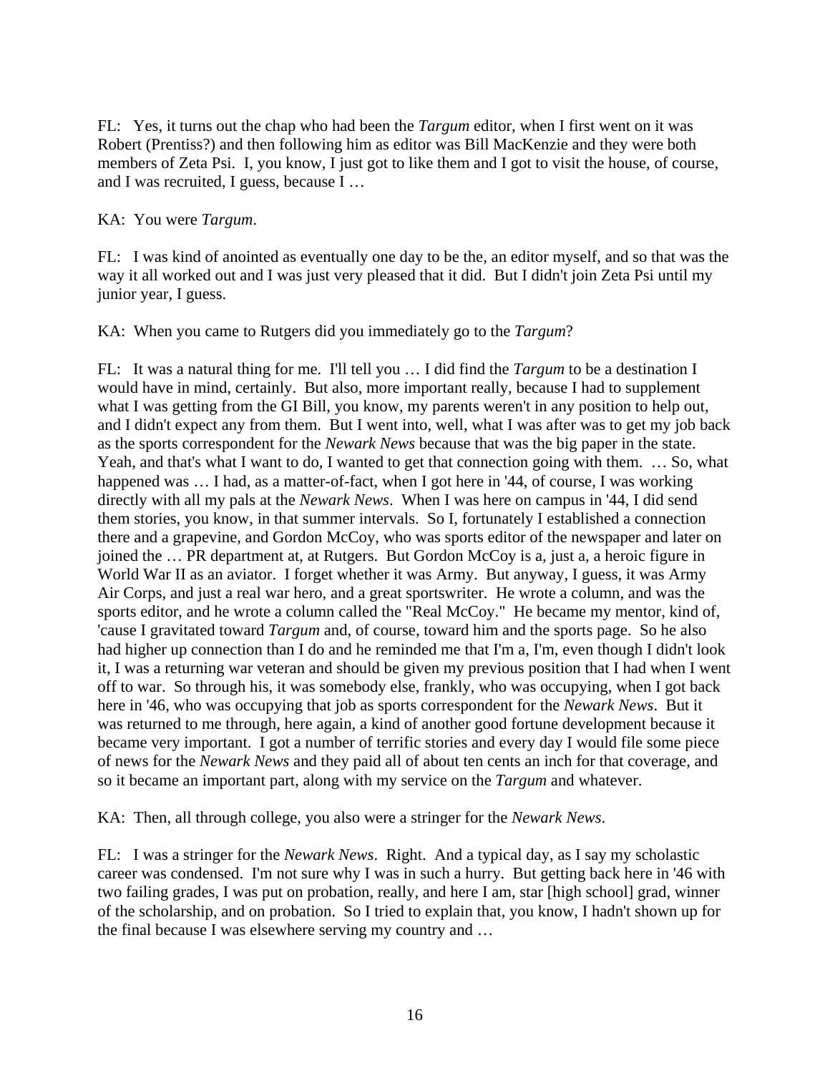FL: Yes, it turns out the chap who had been the *Targum* editor, when I first went on it was Robert (Prentiss?) and then following him as editor was Bill MacKenzie and they were both members of Zeta Psi. I, you know, I just got to like them and I got to visit the house, of course, and I was recruited, I guess, because I …

## KA: You were *Targum*.

FL: I was kind of anointed as eventually one day to be the, an editor myself, and so that was the way it all worked out and I was just very pleased that it did. But I didn't join Zeta Psi until my junior year, I guess.

KA: When you came to Rutgers did you immediately go to the *Targum*?

FL: It was a natural thing for me. I'll tell you … I did find the *Targum* to be a destination I would have in mind, certainly. But also, more important really, because I had to supplement what I was getting from the GI Bill, you know, my parents weren't in any position to help out, and I didn't expect any from them. But I went into, well, what I was after was to get my job back as the sports correspondent for the *Newark News* because that was the big paper in the state. Yeah, and that's what I want to do, I wanted to get that connection going with them. … So, what happened was ... I had, as a matter-of-fact, when I got here in '44, of course, I was working directly with all my pals at the *Newark News*. When I was here on campus in '44, I did send them stories, you know, in that summer intervals. So I, fortunately I established a connection there and a grapevine, and Gordon McCoy, who was sports editor of the newspaper and later on joined the … PR department at, at Rutgers. But Gordon McCoy is a, just a, a heroic figure in World War II as an aviator. I forget whether it was Army. But anyway, I guess, it was Army Air Corps, and just a real war hero, and a great sportswriter. He wrote a column, and was the sports editor, and he wrote a column called the "Real McCoy." He became my mentor, kind of, 'cause I gravitated toward *Targum* and, of course, toward him and the sports page. So he also had higher up connection than I do and he reminded me that I'm a, I'm, even though I didn't look it, I was a returning war veteran and should be given my previous position that I had when I went off to war. So through his, it was somebody else, frankly, who was occupying, when I got back here in '46, who was occupying that job as sports correspondent for the *Newark News*. But it was returned to me through, here again, a kind of another good fortune development because it became very important. I got a number of terrific stories and every day I would file some piece of news for the *Newark News* and they paid all of about ten cents an inch for that coverage, and so it became an important part, along with my service on the *Targum* and whatever.

KA: Then, all through college, you also were a stringer for the *Newark News*.

FL: I was a stringer for the *Newark News*. Right. And a typical day, as I say my scholastic career was condensed. I'm not sure why I was in such a hurry. But getting back here in '46 with two failing grades, I was put on probation, really, and here I am, star [high school] grad, winner of the scholarship, and on probation. So I tried to explain that, you know, I hadn't shown up for the final because I was elsewhere serving my country and …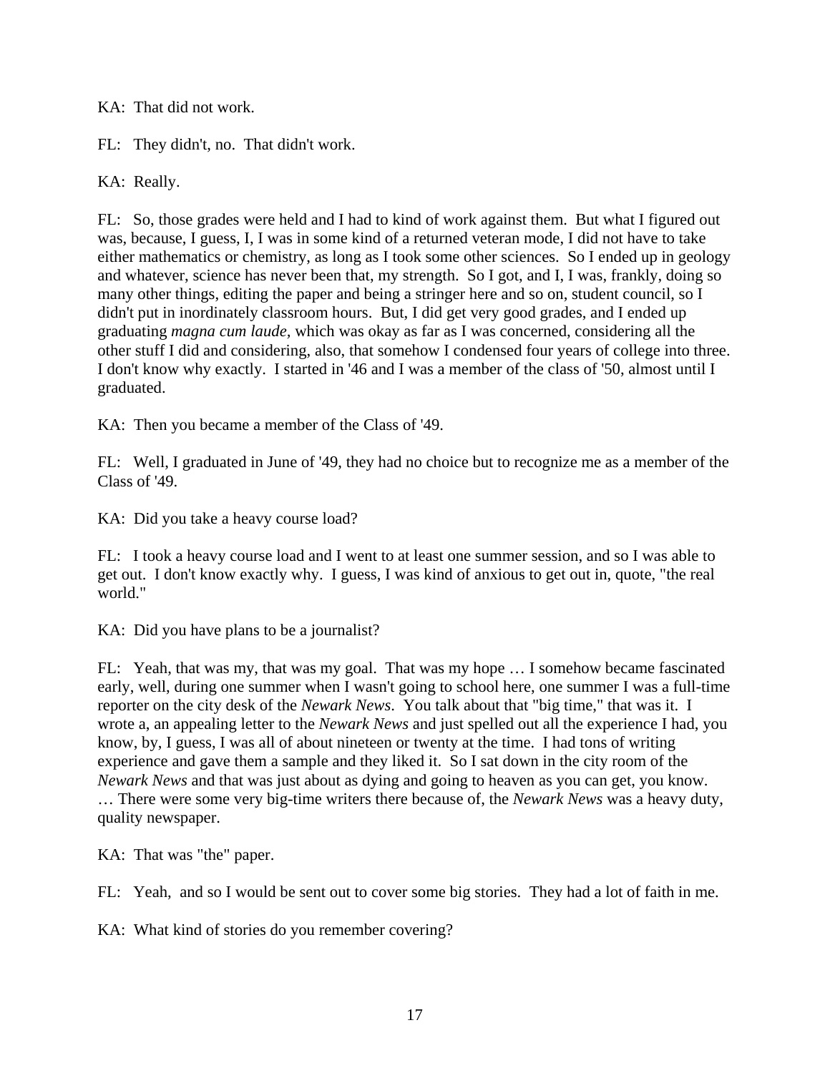KA: That did not work.

FL: They didn't, no. That didn't work.

KA: Really.

FL: So, those grades were held and I had to kind of work against them. But what I figured out was, because, I guess, I, I was in some kind of a returned veteran mode, I did not have to take either mathematics or chemistry, as long as I took some other sciences. So I ended up in geology and whatever, science has never been that, my strength. So I got, and I, I was, frankly, doing so many other things, editing the paper and being a stringer here and so on, student council, so I didn't put in inordinately classroom hours. But, I did get very good grades, and I ended up graduating *magna cum laude,* which was okay as far as I was concerned, considering all the other stuff I did and considering, also, that somehow I condensed four years of college into three. I don't know why exactly. I started in '46 and I was a member of the class of '50, almost until I graduated.

KA: Then you became a member of the Class of '49.

FL: Well, I graduated in June of '49, they had no choice but to recognize me as a member of the Class of '49.

KA: Did you take a heavy course load?

FL: I took a heavy course load and I went to at least one summer session, and so I was able to get out. I don't know exactly why. I guess, I was kind of anxious to get out in, quote, "the real world."

KA: Did you have plans to be a journalist?

FL: Yeah, that was my, that was my goal. That was my hope … I somehow became fascinated early, well, during one summer when I wasn't going to school here, one summer I was a full-time reporter on the city desk of the *Newark News*. You talk about that "big time," that was it. I wrote a, an appealing letter to the *Newark News* and just spelled out all the experience I had, you know, by, I guess, I was all of about nineteen or twenty at the time. I had tons of writing experience and gave them a sample and they liked it. So I sat down in the city room of the *Newark News* and that was just about as dying and going to heaven as you can get, you know. … There were some very big-time writers there because of, the *Newark News* was a heavy duty, quality newspaper.

KA: That was "the" paper.

FL: Yeah, and so I would be sent out to cover some big stories. They had a lot of faith in me.

KA: What kind of stories do you remember covering?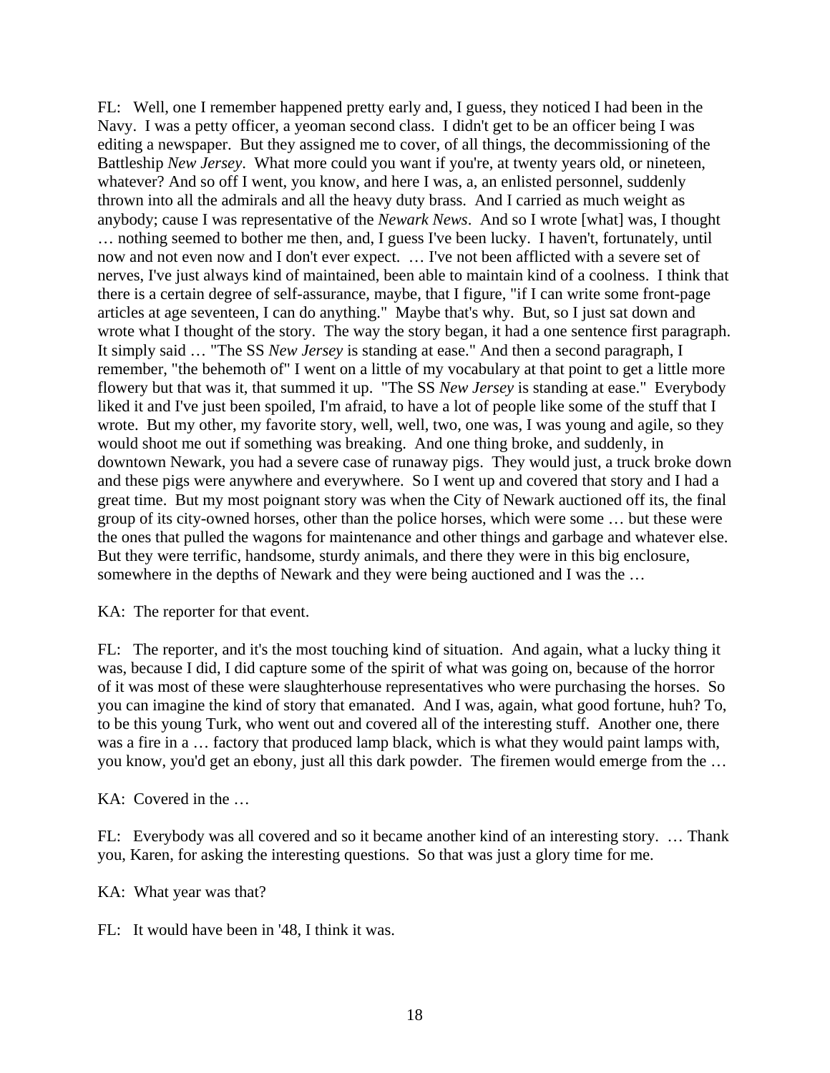FL: Well, one I remember happened pretty early and, I guess, they noticed I had been in the Navy. I was a petty officer, a yeoman second class. I didn't get to be an officer being I was editing a newspaper. But they assigned me to cover, of all things, the decommissioning of the Battleship *New Jersey*. What more could you want if you're, at twenty years old, or nineteen, whatever? And so off I went, you know, and here I was, a, an enlisted personnel, suddenly thrown into all the admirals and all the heavy duty brass. And I carried as much weight as anybody; cause I was representative of the *Newark News*. And so I wrote [what] was, I thought … nothing seemed to bother me then, and, I guess I've been lucky. I haven't, fortunately, until now and not even now and I don't ever expect. … I've not been afflicted with a severe set of nerves, I've just always kind of maintained, been able to maintain kind of a coolness. I think that there is a certain degree of self-assurance, maybe, that I figure, "if I can write some front-page articles at age seventeen, I can do anything." Maybe that's why. But, so I just sat down and wrote what I thought of the story. The way the story began, it had a one sentence first paragraph. It simply said … "The SS *New Jersey* is standing at ease." And then a second paragraph, I remember, "the behemoth of" I went on a little of my vocabulary at that point to get a little more flowery but that was it, that summed it up. "The SS *New Jersey* is standing at ease." Everybody liked it and I've just been spoiled, I'm afraid, to have a lot of people like some of the stuff that I wrote. But my other, my favorite story, well, well, two, one was, I was young and agile, so they would shoot me out if something was breaking. And one thing broke, and suddenly, in downtown Newark, you had a severe case of runaway pigs. They would just, a truck broke down and these pigs were anywhere and everywhere. So I went up and covered that story and I had a great time. But my most poignant story was when the City of Newark auctioned off its, the final group of its city-owned horses, other than the police horses, which were some … but these were the ones that pulled the wagons for maintenance and other things and garbage and whatever else. But they were terrific, handsome, sturdy animals, and there they were in this big enclosure, somewhere in the depths of Newark and they were being auctioned and I was the …

KA: The reporter for that event.

FL: The reporter, and it's the most touching kind of situation. And again, what a lucky thing it was, because I did, I did capture some of the spirit of what was going on, because of the horror of it was most of these were slaughterhouse representatives who were purchasing the horses. So you can imagine the kind of story that emanated. And I was, again, what good fortune, huh? To, to be this young Turk, who went out and covered all of the interesting stuff. Another one, there was a fire in a … factory that produced lamp black, which is what they would paint lamps with, you know, you'd get an ebony, just all this dark powder. The firemen would emerge from the …

KA: Covered in the …

FL: Everybody was all covered and so it became another kind of an interesting story. … Thank you, Karen, for asking the interesting questions. So that was just a glory time for me.

KA: What year was that?

FL: It would have been in '48, I think it was.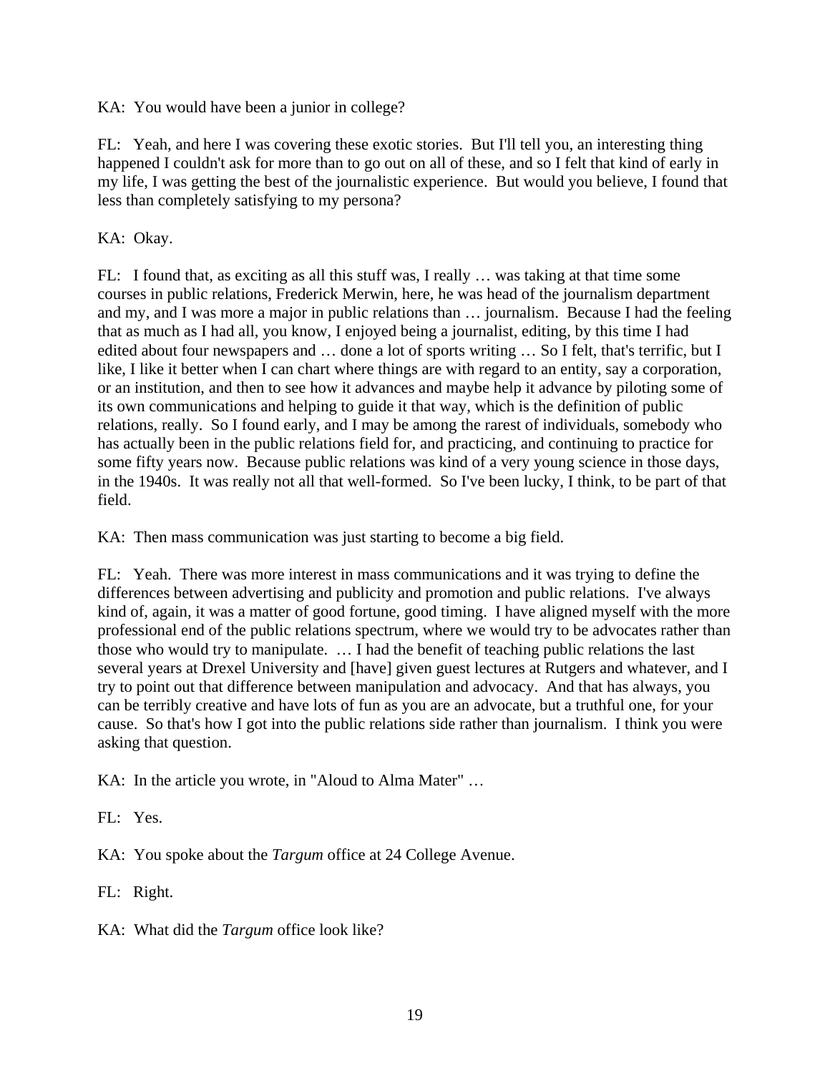KA: You would have been a junior in college?

FL: Yeah, and here I was covering these exotic stories. But I'll tell you, an interesting thing happened I couldn't ask for more than to go out on all of these, and so I felt that kind of early in my life, I was getting the best of the journalistic experience. But would you believe, I found that less than completely satisfying to my persona?

KA: Okay.

FL: I found that, as exciting as all this stuff was, I really … was taking at that time some courses in public relations, Frederick Merwin, here, he was head of the journalism department and my, and I was more a major in public relations than … journalism. Because I had the feeling that as much as I had all, you know, I enjoyed being a journalist, editing, by this time I had edited about four newspapers and … done a lot of sports writing … So I felt, that's terrific, but I like, I like it better when I can chart where things are with regard to an entity, say a corporation, or an institution, and then to see how it advances and maybe help it advance by piloting some of its own communications and helping to guide it that way, which is the definition of public relations, really. So I found early, and I may be among the rarest of individuals, somebody who has actually been in the public relations field for, and practicing, and continuing to practice for some fifty years now. Because public relations was kind of a very young science in those days, in the 1940s. It was really not all that well-formed. So I've been lucky, I think, to be part of that field.

KA: Then mass communication was just starting to become a big field.

FL: Yeah. There was more interest in mass communications and it was trying to define the differences between advertising and publicity and promotion and public relations. I've always kind of, again, it was a matter of good fortune, good timing. I have aligned myself with the more professional end of the public relations spectrum, where we would try to be advocates rather than those who would try to manipulate. … I had the benefit of teaching public relations the last several years at Drexel University and [have] given guest lectures at Rutgers and whatever, and I try to point out that difference between manipulation and advocacy. And that has always, you can be terribly creative and have lots of fun as you are an advocate, but a truthful one, for your cause. So that's how I got into the public relations side rather than journalism. I think you were asking that question.

KA: In the article you wrote, in "Aloud to Alma Mater" …

FL: Yes.

KA: You spoke about the *Targum* office at 24 College Avenue.

FL: Right.

KA: What did the *Targum* office look like?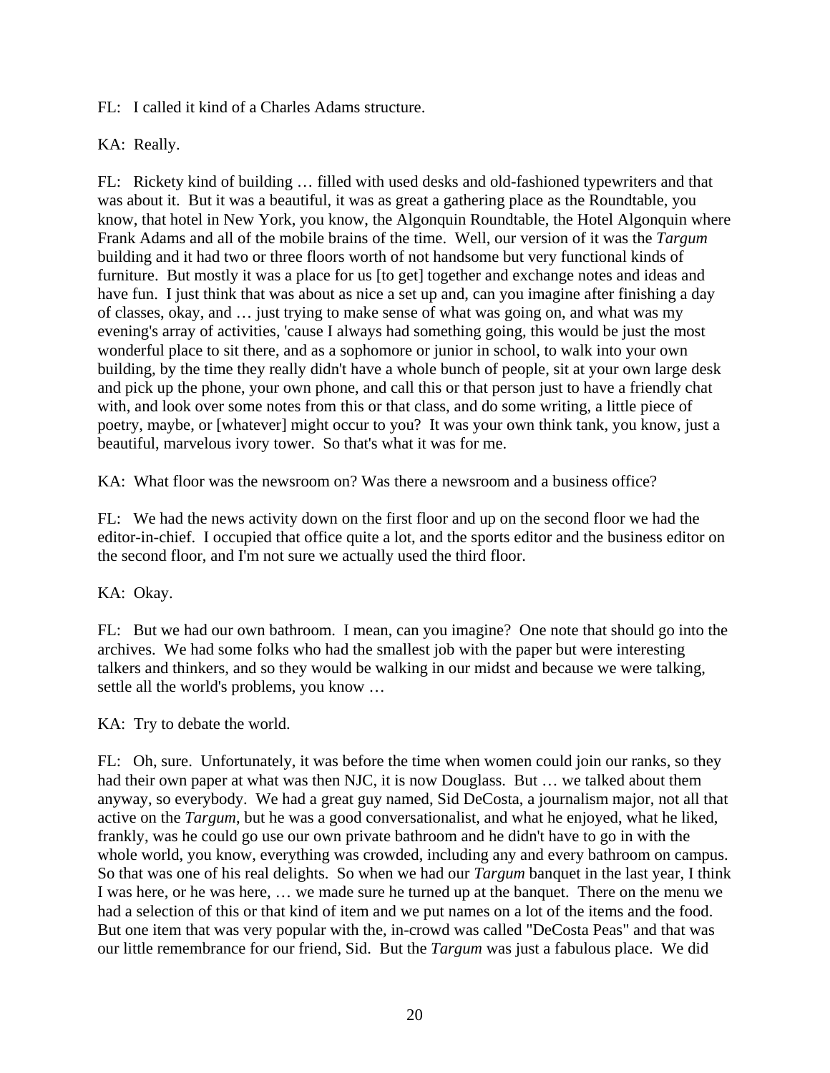FL: I called it kind of a Charles Adams structure.

KA: Really.

FL: Rickety kind of building … filled with used desks and old-fashioned typewriters and that was about it. But it was a beautiful, it was as great a gathering place as the Roundtable, you know, that hotel in New York, you know, the Algonquin Roundtable, the Hotel Algonquin where Frank Adams and all of the mobile brains of the time. Well, our version of it was the *Targum* building and it had two or three floors worth of not handsome but very functional kinds of furniture. But mostly it was a place for us [to get] together and exchange notes and ideas and have fun. I just think that was about as nice a set up and, can you imagine after finishing a day of classes, okay, and … just trying to make sense of what was going on, and what was my evening's array of activities, 'cause I always had something going, this would be just the most wonderful place to sit there, and as a sophomore or junior in school, to walk into your own building, by the time they really didn't have a whole bunch of people, sit at your own large desk and pick up the phone, your own phone, and call this or that person just to have a friendly chat with, and look over some notes from this or that class, and do some writing, a little piece of poetry, maybe, or [whatever] might occur to you? It was your own think tank, you know, just a beautiful, marvelous ivory tower. So that's what it was for me.

KA: What floor was the newsroom on? Was there a newsroom and a business office?

FL: We had the news activity down on the first floor and up on the second floor we had the editor-in-chief. I occupied that office quite a lot, and the sports editor and the business editor on the second floor, and I'm not sure we actually used the third floor.

KA: Okay.

FL: But we had our own bathroom. I mean, can you imagine? One note that should go into the archives. We had some folks who had the smallest job with the paper but were interesting talkers and thinkers, and so they would be walking in our midst and because we were talking, settle all the world's problems, you know …

KA: Try to debate the world.

FL: Oh, sure. Unfortunately, it was before the time when women could join our ranks, so they had their own paper at what was then NJC, it is now Douglass. But ... we talked about them anyway, so everybody. We had a great guy named, Sid DeCosta, a journalism major, not all that active on the *Targum*, but he was a good conversationalist, and what he enjoyed, what he liked, frankly, was he could go use our own private bathroom and he didn't have to go in with the whole world, you know, everything was crowded, including any and every bathroom on campus. So that was one of his real delights. So when we had our *Targum* banquet in the last year, I think I was here, or he was here, … we made sure he turned up at the banquet. There on the menu we had a selection of this or that kind of item and we put names on a lot of the items and the food. But one item that was very popular with the, in-crowd was called "DeCosta Peas" and that was our little remembrance for our friend, Sid. But the *Targum* was just a fabulous place. We did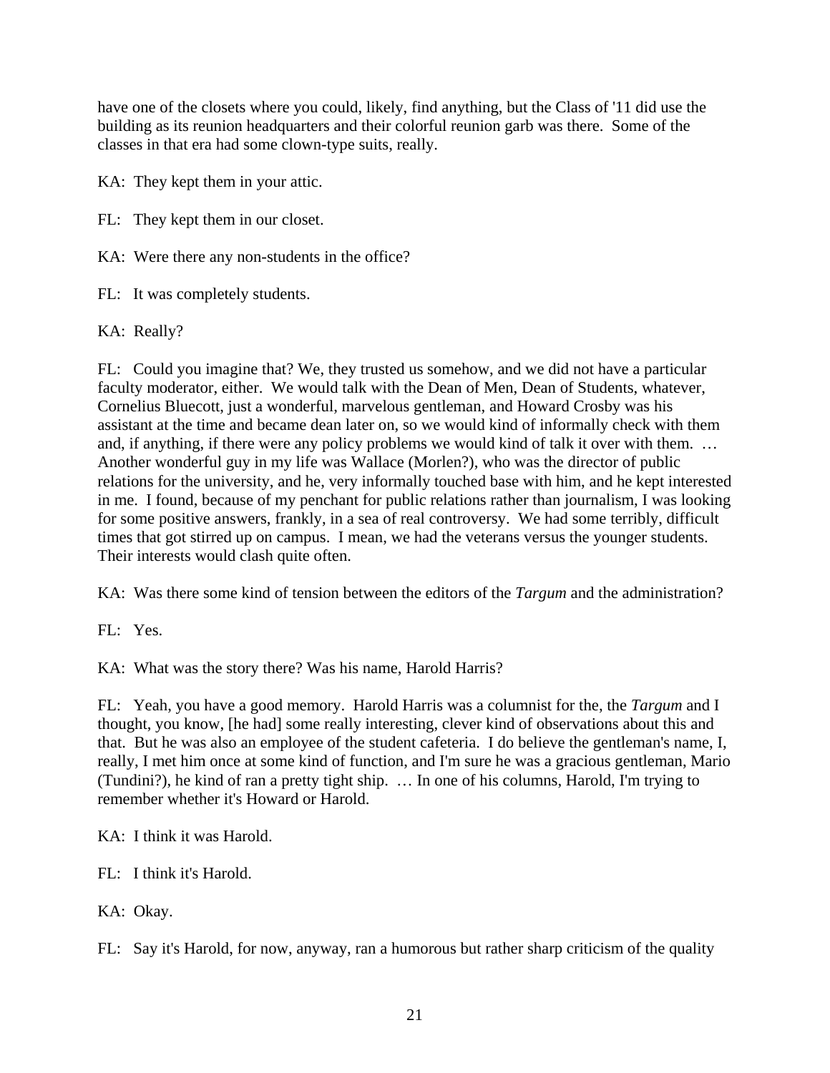have one of the closets where you could, likely, find anything, but the Class of '11 did use the building as its reunion headquarters and their colorful reunion garb was there. Some of the classes in that era had some clown-type suits, really.

KA: They kept them in your attic.

FL: They kept them in our closet.

KA: Were there any non-students in the office?

FL: It was completely students.

KA: Really?

FL: Could you imagine that? We, they trusted us somehow, and we did not have a particular faculty moderator, either. We would talk with the Dean of Men, Dean of Students, whatever, Cornelius Bluecott, just a wonderful, marvelous gentleman, and Howard Crosby was his assistant at the time and became dean later on, so we would kind of informally check with them and, if anything, if there were any policy problems we would kind of talk it over with them. … Another wonderful guy in my life was Wallace (Morlen?), who was the director of public relations for the university, and he, very informally touched base with him, and he kept interested in me. I found, because of my penchant for public relations rather than journalism, I was looking for some positive answers, frankly, in a sea of real controversy. We had some terribly, difficult times that got stirred up on campus. I mean, we had the veterans versus the younger students. Their interests would clash quite often.

KA: Was there some kind of tension between the editors of the *Targum* and the administration?

FL: Yes.

KA: What was the story there? Was his name, Harold Harris?

FL: Yeah, you have a good memory. Harold Harris was a columnist for the, the *Targum* and I thought, you know, [he had] some really interesting, clever kind of observations about this and that. But he was also an employee of the student cafeteria. I do believe the gentleman's name, I, really, I met him once at some kind of function, and I'm sure he was a gracious gentleman, Mario (Tundini?), he kind of ran a pretty tight ship. … In one of his columns, Harold, I'm trying to remember whether it's Howard or Harold.

KA: I think it was Harold.

FL: I think it's Harold.

KA: Okay.

FL: Say it's Harold, for now, anyway, ran a humorous but rather sharp criticism of the quality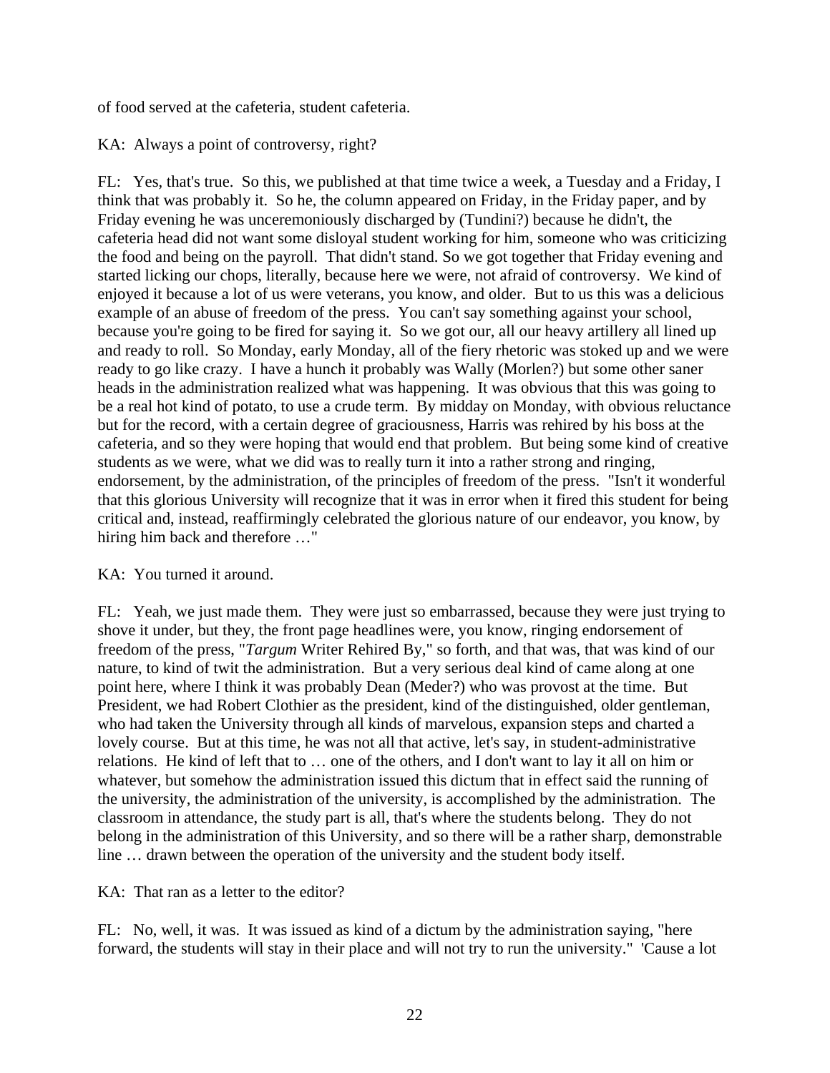of food served at the cafeteria, student cafeteria.

# KA: Always a point of controversy, right?

FL: Yes, that's true. So this, we published at that time twice a week, a Tuesday and a Friday, I think that was probably it. So he, the column appeared on Friday, in the Friday paper, and by Friday evening he was unceremoniously discharged by (Tundini?) because he didn't, the cafeteria head did not want some disloyal student working for him, someone who was criticizing the food and being on the payroll. That didn't stand. So we got together that Friday evening and started licking our chops, literally, because here we were, not afraid of controversy. We kind of enjoyed it because a lot of us were veterans, you know, and older. But to us this was a delicious example of an abuse of freedom of the press. You can't say something against your school, because you're going to be fired for saying it. So we got our, all our heavy artillery all lined up and ready to roll. So Monday, early Monday, all of the fiery rhetoric was stoked up and we were ready to go like crazy. I have a hunch it probably was Wally (Morlen?) but some other saner heads in the administration realized what was happening. It was obvious that this was going to be a real hot kind of potato, to use a crude term. By midday on Monday, with obvious reluctance but for the record, with a certain degree of graciousness, Harris was rehired by his boss at the cafeteria, and so they were hoping that would end that problem. But being some kind of creative students as we were, what we did was to really turn it into a rather strong and ringing, endorsement, by the administration, of the principles of freedom of the press. "Isn't it wonderful that this glorious University will recognize that it was in error when it fired this student for being critical and, instead, reaffirmingly celebrated the glorious nature of our endeavor, you know, by hiring him back and therefore …"

# KA: You turned it around.

FL: Yeah, we just made them. They were just so embarrassed, because they were just trying to shove it under, but they, the front page headlines were, you know, ringing endorsement of freedom of the press, "*Targum* Writer Rehired By," so forth, and that was, that was kind of our nature, to kind of twit the administration. But a very serious deal kind of came along at one point here, where I think it was probably Dean (Meder?) who was provost at the time. But President, we had Robert Clothier as the president, kind of the distinguished, older gentleman, who had taken the University through all kinds of marvelous, expansion steps and charted a lovely course. But at this time, he was not all that active, let's say, in student-administrative relations. He kind of left that to … one of the others, and I don't want to lay it all on him or whatever, but somehow the administration issued this dictum that in effect said the running of the university, the administration of the university, is accomplished by the administration. The classroom in attendance, the study part is all, that's where the students belong. They do not belong in the administration of this University, and so there will be a rather sharp, demonstrable line … drawn between the operation of the university and the student body itself.

KA: That ran as a letter to the editor?

FL: No, well, it was. It was issued as kind of a dictum by the administration saying, "here forward, the students will stay in their place and will not try to run the university." 'Cause a lot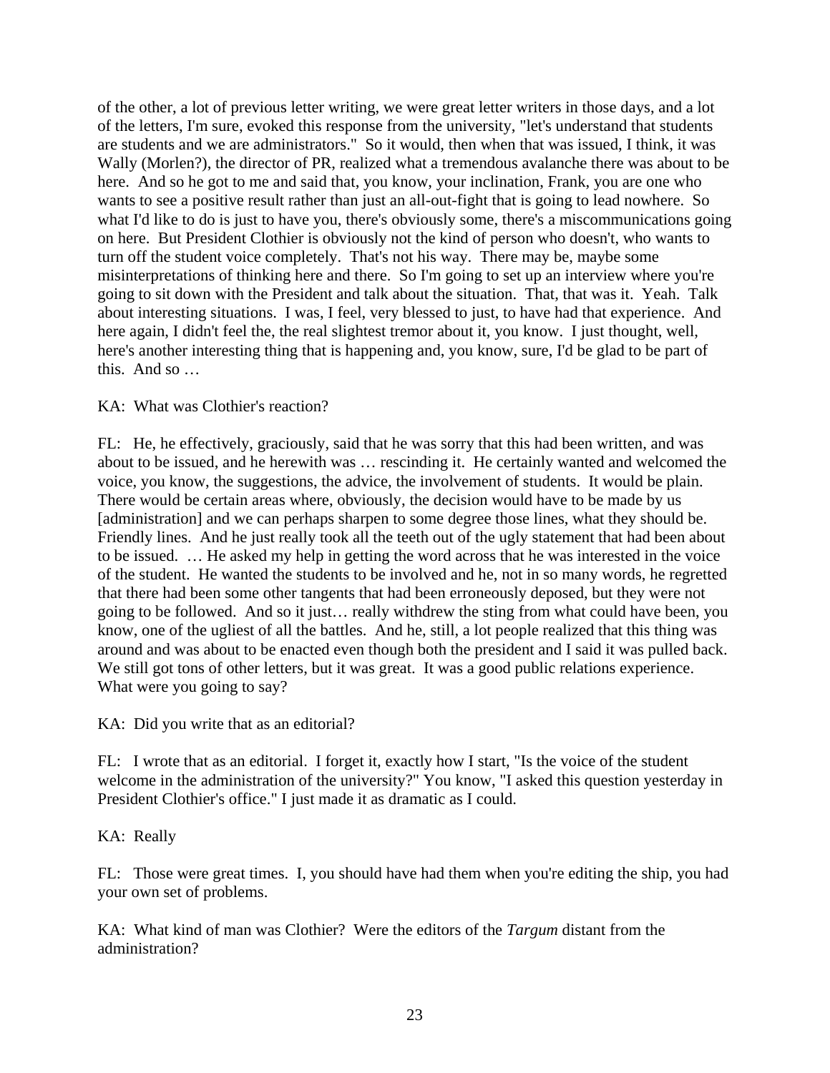of the other, a lot of previous letter writing, we were great letter writers in those days, and a lot of the letters, I'm sure, evoked this response from the university, "let's understand that students are students and we are administrators." So it would, then when that was issued, I think, it was Wally (Morlen?), the director of PR, realized what a tremendous avalanche there was about to be here. And so he got to me and said that, you know, your inclination, Frank, you are one who wants to see a positive result rather than just an all-out-fight that is going to lead nowhere. So what I'd like to do is just to have you, there's obviously some, there's a miscommunications going on here. But President Clothier is obviously not the kind of person who doesn't, who wants to turn off the student voice completely. That's not his way. There may be, maybe some misinterpretations of thinking here and there. So I'm going to set up an interview where you're going to sit down with the President and talk about the situation. That, that was it. Yeah. Talk about interesting situations. I was, I feel, very blessed to just, to have had that experience. And here again, I didn't feel the, the real slightest tremor about it, you know. I just thought, well, here's another interesting thing that is happening and, you know, sure, I'd be glad to be part of this. And so …

## KA: What was Clothier's reaction?

FL: He, he effectively, graciously, said that he was sorry that this had been written, and was about to be issued, and he herewith was … rescinding it. He certainly wanted and welcomed the voice, you know, the suggestions, the advice, the involvement of students. It would be plain. There would be certain areas where, obviously, the decision would have to be made by us [administration] and we can perhaps sharpen to some degree those lines, what they should be. Friendly lines. And he just really took all the teeth out of the ugly statement that had been about to be issued. … He asked my help in getting the word across that he was interested in the voice of the student. He wanted the students to be involved and he, not in so many words, he regretted that there had been some other tangents that had been erroneously deposed, but they were not going to be followed. And so it just… really withdrew the sting from what could have been, you know, one of the ugliest of all the battles. And he, still, a lot people realized that this thing was around and was about to be enacted even though both the president and I said it was pulled back. We still got tons of other letters, but it was great. It was a good public relations experience. What were you going to say?

KA: Did you write that as an editorial?

FL: I wrote that as an editorial. I forget it, exactly how I start, "Is the voice of the student welcome in the administration of the university?" You know, "I asked this question yesterday in President Clothier's office." I just made it as dramatic as I could.

KA: Really

FL: Those were great times. I, you should have had them when you're editing the ship, you had your own set of problems.

KA: What kind of man was Clothier? Were the editors of the *Targum* distant from the administration?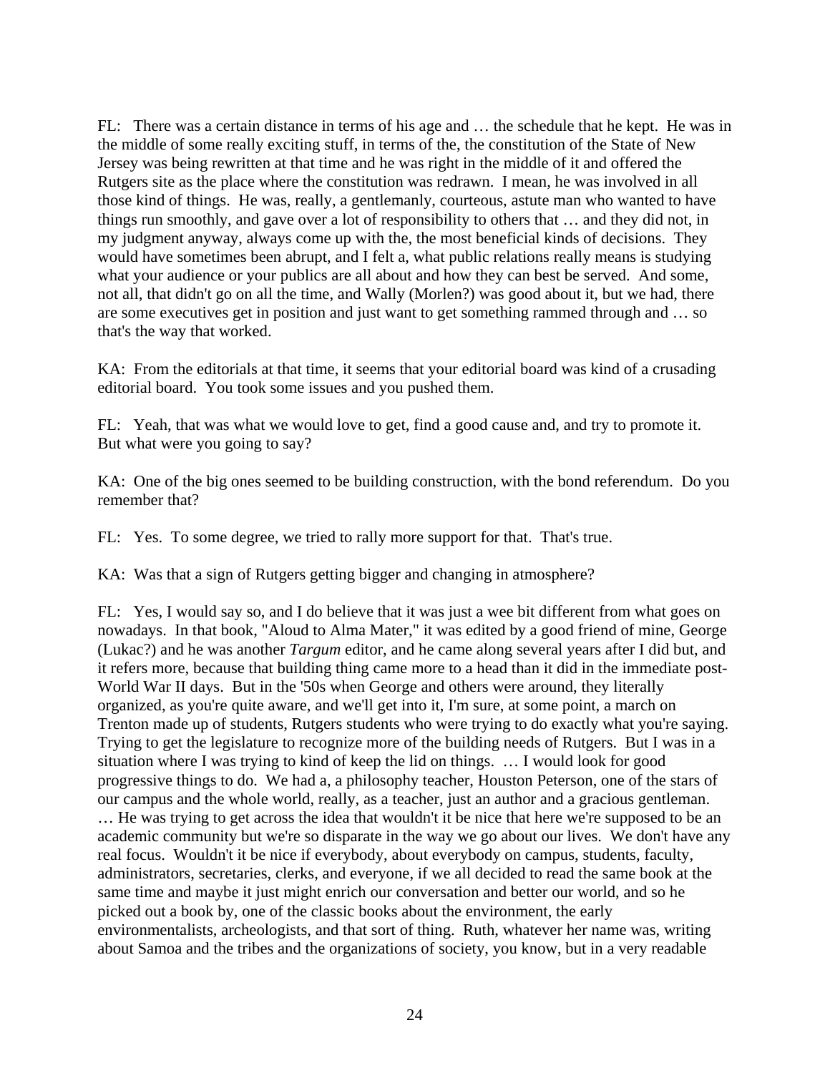FL: There was a certain distance in terms of his age and … the schedule that he kept. He was in the middle of some really exciting stuff, in terms of the, the constitution of the State of New Jersey was being rewritten at that time and he was right in the middle of it and offered the Rutgers site as the place where the constitution was redrawn. I mean, he was involved in all those kind of things. He was, really, a gentlemanly, courteous, astute man who wanted to have things run smoothly, and gave over a lot of responsibility to others that … and they did not, in my judgment anyway, always come up with the, the most beneficial kinds of decisions. They would have sometimes been abrupt, and I felt a, what public relations really means is studying what your audience or your publics are all about and how they can best be served. And some, not all, that didn't go on all the time, and Wally (Morlen?) was good about it, but we had, there are some executives get in position and just want to get something rammed through and … so that's the way that worked.

KA: From the editorials at that time, it seems that your editorial board was kind of a crusading editorial board. You took some issues and you pushed them.

FL: Yeah, that was what we would love to get, find a good cause and, and try to promote it. But what were you going to say?

KA: One of the big ones seemed to be building construction, with the bond referendum. Do you remember that?

FL: Yes. To some degree, we tried to rally more support for that. That's true.

KA: Was that a sign of Rutgers getting bigger and changing in atmosphere?

FL: Yes, I would say so, and I do believe that it was just a wee bit different from what goes on nowadays. In that book, "Aloud to Alma Mater," it was edited by a good friend of mine, George (Lukac?) and he was another *Targum* editor, and he came along several years after I did but, and it refers more, because that building thing came more to a head than it did in the immediate post-World War II days. But in the '50s when George and others were around, they literally organized, as you're quite aware, and we'll get into it, I'm sure, at some point, a march on Trenton made up of students, Rutgers students who were trying to do exactly what you're saying. Trying to get the legislature to recognize more of the building needs of Rutgers. But I was in a situation where I was trying to kind of keep the lid on things. … I would look for good progressive things to do. We had a, a philosophy teacher, Houston Peterson, one of the stars of our campus and the whole world, really, as a teacher, just an author and a gracious gentleman. … He was trying to get across the idea that wouldn't it be nice that here we're supposed to be an academic community but we're so disparate in the way we go about our lives. We don't have any real focus. Wouldn't it be nice if everybody, about everybody on campus, students, faculty, administrators, secretaries, clerks, and everyone, if we all decided to read the same book at the same time and maybe it just might enrich our conversation and better our world, and so he picked out a book by, one of the classic books about the environment, the early environmentalists, archeologists, and that sort of thing. Ruth, whatever her name was, writing about Samoa and the tribes and the organizations of society, you know, but in a very readable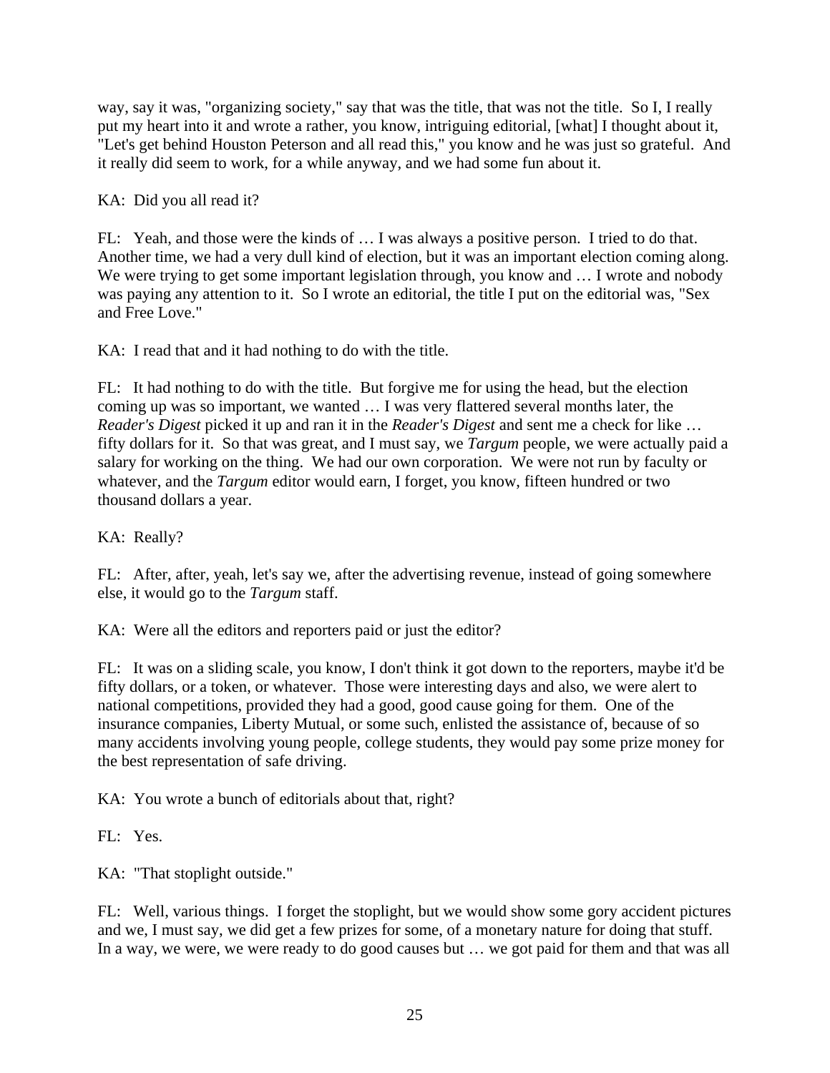way, say it was, "organizing society," say that was the title, that was not the title. So I, I really put my heart into it and wrote a rather, you know, intriguing editorial, [what] I thought about it, "Let's get behind Houston Peterson and all read this," you know and he was just so grateful. And it really did seem to work, for a while anyway, and we had some fun about it.

KA: Did you all read it?

FL: Yeah, and those were the kinds of … I was always a positive person. I tried to do that. Another time, we had a very dull kind of election, but it was an important election coming along. We were trying to get some important legislation through, you know and ... I wrote and nobody was paying any attention to it. So I wrote an editorial, the title I put on the editorial was, "Sex and Free Love."

KA: I read that and it had nothing to do with the title.

FL: It had nothing to do with the title. But forgive me for using the head, but the election coming up was so important, we wanted … I was very flattered several months later, the *Reader's Digest* picked it up and ran it in the *Reader's Digest* and sent me a check for like … fifty dollars for it. So that was great, and I must say, we *Targum* people, we were actually paid a salary for working on the thing. We had our own corporation. We were not run by faculty or whatever, and the *Targum* editor would earn, I forget, you know, fifteen hundred or two thousand dollars a year.

KA: Really?

FL: After, after, yeah, let's say we, after the advertising revenue, instead of going somewhere else, it would go to the *Targum* staff.

KA: Were all the editors and reporters paid or just the editor?

FL: It was on a sliding scale, you know, I don't think it got down to the reporters, maybe it'd be fifty dollars, or a token, or whatever. Those were interesting days and also, we were alert to national competitions, provided they had a good, good cause going for them. One of the insurance companies, Liberty Mutual, or some such, enlisted the assistance of, because of so many accidents involving young people, college students, they would pay some prize money for the best representation of safe driving.

KA: You wrote a bunch of editorials about that, right?

FL: Yes.

KA: "That stoplight outside."

FL: Well, various things. I forget the stoplight, but we would show some gory accident pictures and we, I must say, we did get a few prizes for some, of a monetary nature for doing that stuff. In a way, we were, we were ready to do good causes but … we got paid for them and that was all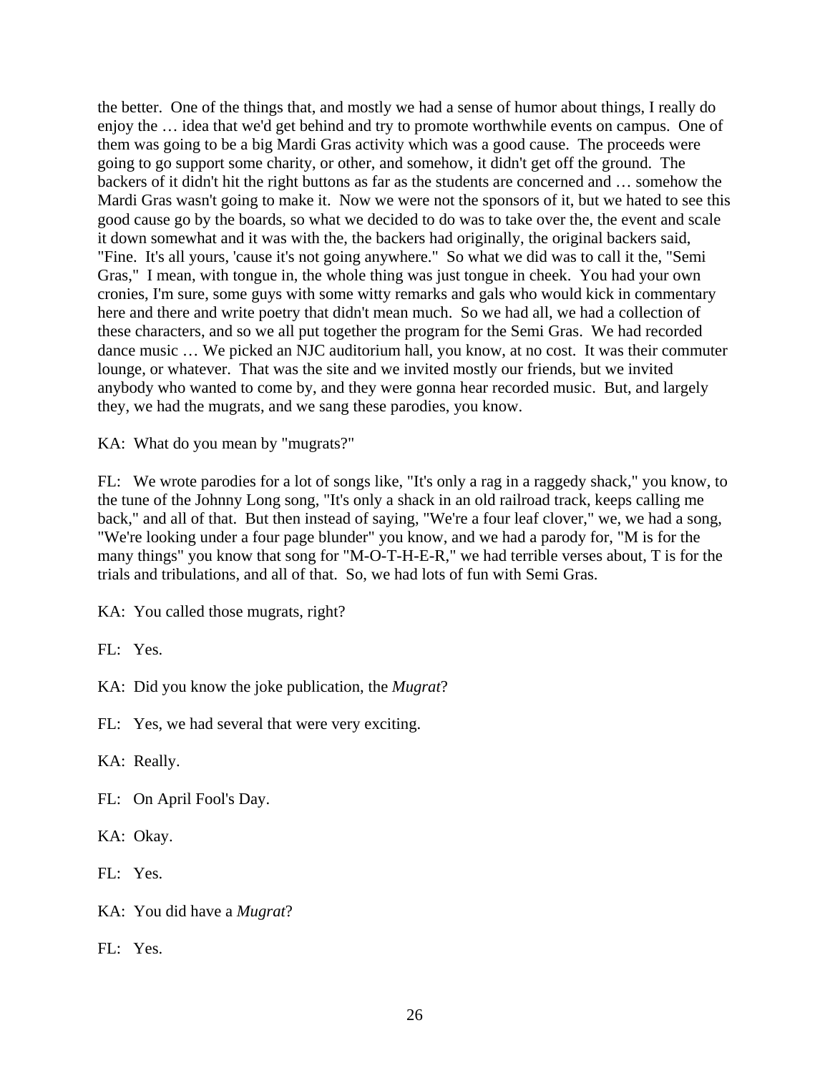the better. One of the things that, and mostly we had a sense of humor about things, I really do enjoy the … idea that we'd get behind and try to promote worthwhile events on campus. One of them was going to be a big Mardi Gras activity which was a good cause. The proceeds were going to go support some charity, or other, and somehow, it didn't get off the ground. The backers of it didn't hit the right buttons as far as the students are concerned and … somehow the Mardi Gras wasn't going to make it. Now we were not the sponsors of it, but we hated to see this good cause go by the boards, so what we decided to do was to take over the, the event and scale it down somewhat and it was with the, the backers had originally, the original backers said, "Fine. It's all yours, 'cause it's not going anywhere." So what we did was to call it the, "Semi Gras," I mean, with tongue in, the whole thing was just tongue in cheek. You had your own cronies, I'm sure, some guys with some witty remarks and gals who would kick in commentary here and there and write poetry that didn't mean much. So we had all, we had a collection of these characters, and so we all put together the program for the Semi Gras. We had recorded dance music … We picked an NJC auditorium hall, you know, at no cost. It was their commuter lounge, or whatever. That was the site and we invited mostly our friends, but we invited anybody who wanted to come by, and they were gonna hear recorded music. But, and largely they, we had the mugrats, and we sang these parodies, you know.

KA: What do you mean by "mugrats?"

FL: We wrote parodies for a lot of songs like, "It's only a rag in a raggedy shack," you know, to the tune of the Johnny Long song, "It's only a shack in an old railroad track, keeps calling me back," and all of that. But then instead of saying, "We're a four leaf clover," we, we had a song, "We're looking under a four page blunder" you know, and we had a parody for, "M is for the many things" you know that song for "M-O-T-H-E-R," we had terrible verses about, T is for the trials and tribulations, and all of that. So, we had lots of fun with Semi Gras.

KA: You called those mugrats, right?

FL: Yes.

KA: Did you know the joke publication, the *Mugrat*?

FL: Yes, we had several that were very exciting.

KA: Really.

FL: On April Fool's Day.

KA: Okay.

FL: Yes.

KA: You did have a *Mugrat*?

FL: Yes.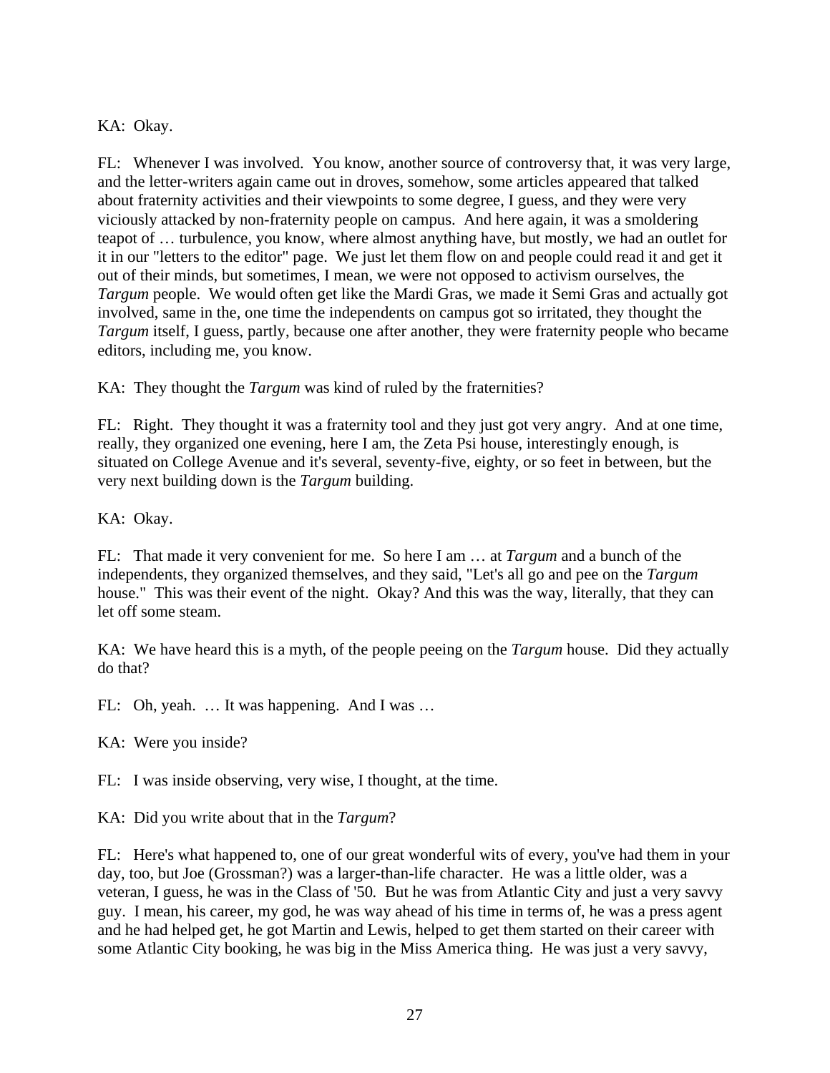# KA: Okay.

FL: Whenever I was involved. You know, another source of controversy that, it was very large, and the letter-writers again came out in droves, somehow, some articles appeared that talked about fraternity activities and their viewpoints to some degree, I guess, and they were very viciously attacked by non-fraternity people on campus. And here again, it was a smoldering teapot of … turbulence, you know, where almost anything have, but mostly, we had an outlet for it in our "letters to the editor" page. We just let them flow on and people could read it and get it out of their minds, but sometimes, I mean, we were not opposed to activism ourselves, the *Targum* people. We would often get like the Mardi Gras, we made it Semi Gras and actually got involved, same in the, one time the independents on campus got so irritated, they thought the *Targum* itself, I guess, partly, because one after another, they were fraternity people who became editors, including me, you know.

KA: They thought the *Targum* was kind of ruled by the fraternities?

FL: Right. They thought it was a fraternity tool and they just got very angry. And at one time, really, they organized one evening, here I am, the Zeta Psi house, interestingly enough, is situated on College Avenue and it's several, seventy-five, eighty, or so feet in between, but the very next building down is the *Targum* building.

KA: Okay.

FL: That made it very convenient for me. So here I am … at *Targum* and a bunch of the independents, they organized themselves, and they said, "Let's all go and pee on the *Targum* house." This was their event of the night. Okay? And this was the way, literally, that they can let off some steam.

KA: We have heard this is a myth, of the people peeing on the *Targum* house. Did they actually do that?

FL: Oh, yeah. … It was happening. And I was …

KA: Were you inside?

FL: I was inside observing, very wise, I thought, at the time.

KA: Did you write about that in the *Targum*?

FL: Here's what happened to, one of our great wonderful wits of every, you've had them in your day, too, but Joe (Grossman?) was a larger-than-life character. He was a little older, was a veteran, I guess, he was in the Class of '50*.* But he was from Atlantic City and just a very savvy guy. I mean, his career, my god, he was way ahead of his time in terms of, he was a press agent and he had helped get, he got Martin and Lewis, helped to get them started on their career with some Atlantic City booking, he was big in the Miss America thing. He was just a very savvy,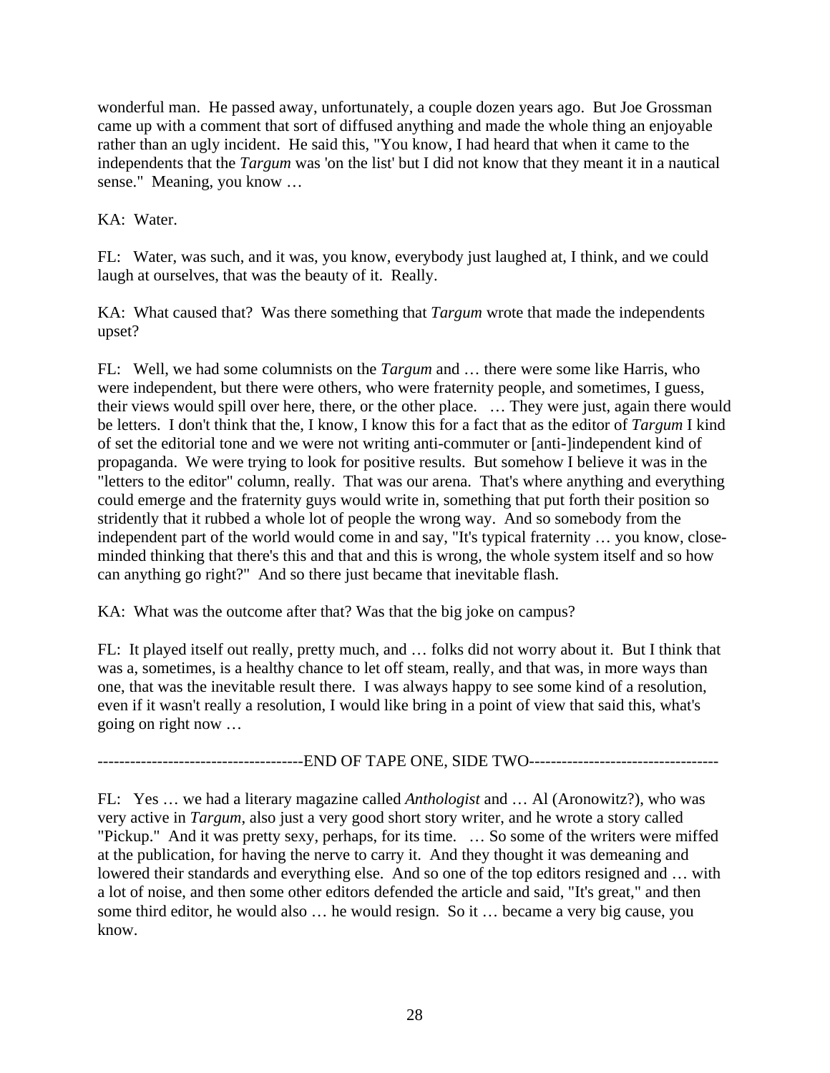wonderful man. He passed away, unfortunately, a couple dozen years ago. But Joe Grossman came up with a comment that sort of diffused anything and made the whole thing an enjoyable rather than an ugly incident. He said this, "You know, I had heard that when it came to the independents that the *Targum* was 'on the list' but I did not know that they meant it in a nautical sense." Meaning, you know …

KA: Water.

FL: Water, was such, and it was, you know, everybody just laughed at, I think, and we could laugh at ourselves, that was the beauty of it. Really.

KA: What caused that? Was there something that *Targum* wrote that made the independents upset?

FL: Well, we had some columnists on the *Targum* and … there were some like Harris, who were independent, but there were others, who were fraternity people, and sometimes, I guess, their views would spill over here, there, or the other place. … They were just, again there would be letters. I don't think that the, I know, I know this for a fact that as the editor of *Targum* I kind of set the editorial tone and we were not writing anti-commuter or [anti-]independent kind of propaganda. We were trying to look for positive results. But somehow I believe it was in the "letters to the editor" column, really. That was our arena. That's where anything and everything could emerge and the fraternity guys would write in, something that put forth their position so stridently that it rubbed a whole lot of people the wrong way. And so somebody from the independent part of the world would come in and say, "It's typical fraternity … you know, closeminded thinking that there's this and that and this is wrong, the whole system itself and so how can anything go right?" And so there just became that inevitable flash.

KA: What was the outcome after that? Was that the big joke on campus?

FL: It played itself out really, pretty much, and … folks did not worry about it. But I think that was a, sometimes, is a healthy chance to let off steam, really, and that was, in more ways than one, that was the inevitable result there. I was always happy to see some kind of a resolution, even if it wasn't really a resolution, I would like bring in a point of view that said this, what's going on right now …

-----------------------------END OF TAPE ONE, SIDE TWO---------------------------------

FL: Yes … we had a literary magazine called *Anthologist* and … Al (Aronowitz?), who was very active in *Targum*, also just a very good short story writer, and he wrote a story called "Pickup." And it was pretty sexy, perhaps, for its time. … So some of the writers were miffed at the publication, for having the nerve to carry it. And they thought it was demeaning and lowered their standards and everything else. And so one of the top editors resigned and … with a lot of noise, and then some other editors defended the article and said, "It's great," and then some third editor, he would also … he would resign. So it … became a very big cause, you know.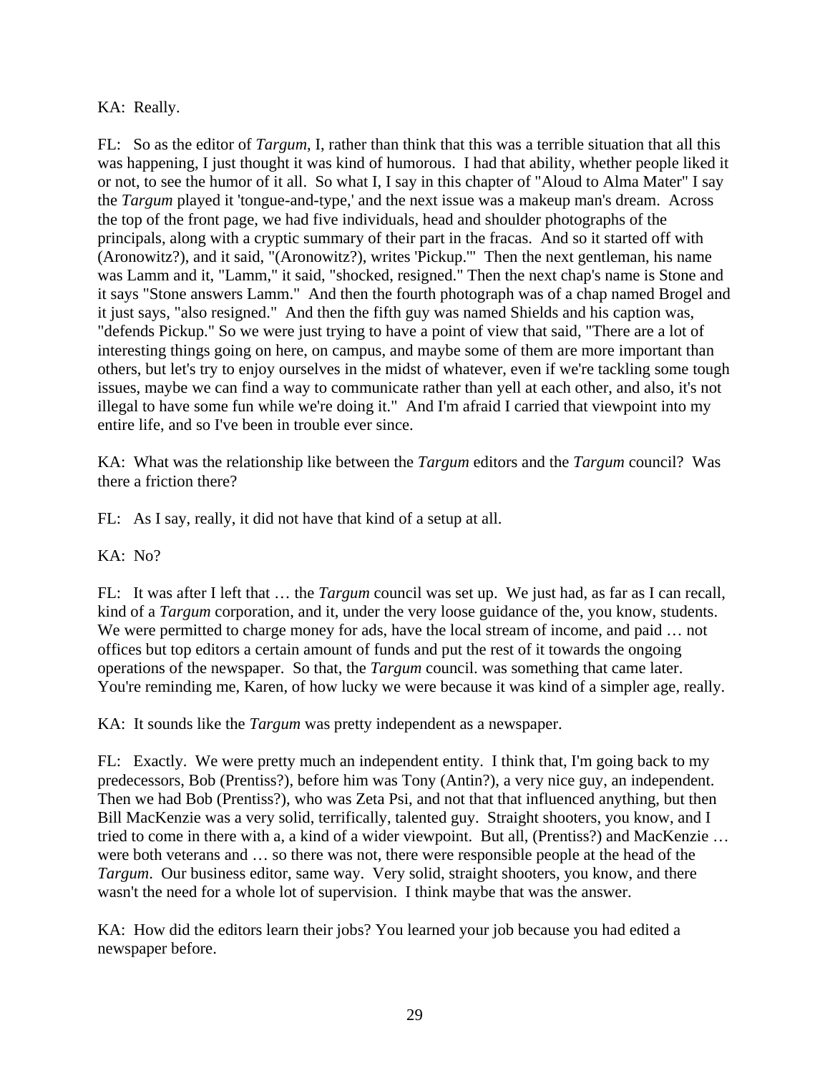# KA: Really.

FL: So as the editor of *Targum*, I, rather than think that this was a terrible situation that all this was happening, I just thought it was kind of humorous. I had that ability, whether people liked it or not, to see the humor of it all. So what I, I say in this chapter of "Aloud to Alma Mater" I say the *Targum* played it 'tongue-and-type,' and the next issue was a makeup man's dream. Across the top of the front page, we had five individuals, head and shoulder photographs of the principals, along with a cryptic summary of their part in the fracas. And so it started off with (Aronowitz?), and it said, "(Aronowitz?), writes 'Pickup.'" Then the next gentleman, his name was Lamm and it, "Lamm," it said, "shocked, resigned." Then the next chap's name is Stone and it says "Stone answers Lamm." And then the fourth photograph was of a chap named Brogel and it just says, "also resigned." And then the fifth guy was named Shields and his caption was, "defends Pickup." So we were just trying to have a point of view that said, "There are a lot of interesting things going on here, on campus, and maybe some of them are more important than others, but let's try to enjoy ourselves in the midst of whatever, even if we're tackling some tough issues, maybe we can find a way to communicate rather than yell at each other, and also, it's not illegal to have some fun while we're doing it." And I'm afraid I carried that viewpoint into my entire life, and so I've been in trouble ever since.

KA: What was the relationship like between the *Targum* editors and the *Targum* council? Was there a friction there?

FL: As I say, really, it did not have that kind of a setup at all.

 $KA: No?$ 

FL: It was after I left that … the *Targum* council was set up. We just had, as far as I can recall, kind of a *Targum* corporation, and it, under the very loose guidance of the, you know, students. We were permitted to charge money for ads, have the local stream of income, and paid ... not offices but top editors a certain amount of funds and put the rest of it towards the ongoing operations of the newspaper. So that, the *Targum* council. was something that came later. You're reminding me, Karen, of how lucky we were because it was kind of a simpler age, really.

KA: It sounds like the *Targum* was pretty independent as a newspaper.

FL: Exactly. We were pretty much an independent entity. I think that, I'm going back to my predecessors, Bob (Prentiss?), before him was Tony (Antin?), a very nice guy, an independent. Then we had Bob (Prentiss?), who was Zeta Psi, and not that that influenced anything, but then Bill MacKenzie was a very solid, terrifically, talented guy. Straight shooters, you know, and I tried to come in there with a, a kind of a wider viewpoint. But all, (Prentiss?) and MacKenzie … were both veterans and … so there was not, there were responsible people at the head of the *Targum*. Our business editor, same way. Very solid, straight shooters, you know, and there wasn't the need for a whole lot of supervision. I think maybe that was the answer.

KA: How did the editors learn their jobs? You learned your job because you had edited a newspaper before.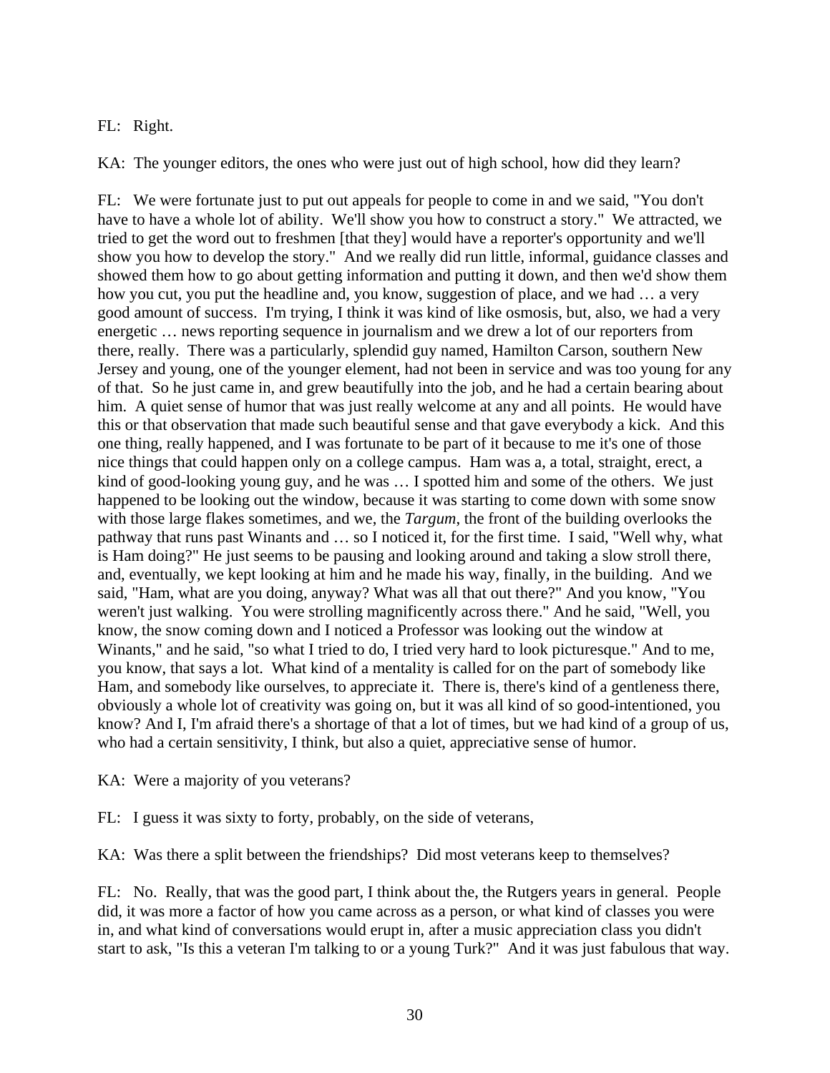## FL: Right.

KA: The younger editors, the ones who were just out of high school, how did they learn?

FL: We were fortunate just to put out appeals for people to come in and we said, "You don't have to have a whole lot of ability. We'll show you how to construct a story." We attracted, we tried to get the word out to freshmen [that they] would have a reporter's opportunity and we'll show you how to develop the story." And we really did run little, informal, guidance classes and showed them how to go about getting information and putting it down, and then we'd show them how you cut, you put the headline and, you know, suggestion of place, and we had … a very good amount of success. I'm trying, I think it was kind of like osmosis, but, also, we had a very energetic … news reporting sequence in journalism and we drew a lot of our reporters from there, really. There was a particularly, splendid guy named, Hamilton Carson, southern New Jersey and young, one of the younger element, had not been in service and was too young for any of that. So he just came in, and grew beautifully into the job, and he had a certain bearing about him. A quiet sense of humor that was just really welcome at any and all points. He would have this or that observation that made such beautiful sense and that gave everybody a kick. And this one thing, really happened, and I was fortunate to be part of it because to me it's one of those nice things that could happen only on a college campus. Ham was a, a total, straight, erect, a kind of good-looking young guy, and he was … I spotted him and some of the others. We just happened to be looking out the window, because it was starting to come down with some snow with those large flakes sometimes, and we, the *Targum*, the front of the building overlooks the pathway that runs past Winants and … so I noticed it, for the first time. I said, "Well why, what is Ham doing?" He just seems to be pausing and looking around and taking a slow stroll there, and, eventually, we kept looking at him and he made his way, finally, in the building. And we said, "Ham, what are you doing, anyway? What was all that out there?" And you know, "You weren't just walking. You were strolling magnificently across there." And he said, "Well, you know, the snow coming down and I noticed a Professor was looking out the window at Winants," and he said, "so what I tried to do, I tried very hard to look picturesque." And to me, you know, that says a lot. What kind of a mentality is called for on the part of somebody like Ham, and somebody like ourselves, to appreciate it. There is, there's kind of a gentleness there, obviously a whole lot of creativity was going on, but it was all kind of so good-intentioned, you know? And I, I'm afraid there's a shortage of that a lot of times, but we had kind of a group of us, who had a certain sensitivity, I think, but also a quiet, appreciative sense of humor.

KA: Were a majority of you veterans?

FL: I guess it was sixty to forty, probably, on the side of veterans,

KA: Was there a split between the friendships? Did most veterans keep to themselves?

FL: No. Really, that was the good part, I think about the, the Rutgers years in general. People did, it was more a factor of how you came across as a person, or what kind of classes you were in, and what kind of conversations would erupt in, after a music appreciation class you didn't start to ask, "Is this a veteran I'm talking to or a young Turk?" And it was just fabulous that way.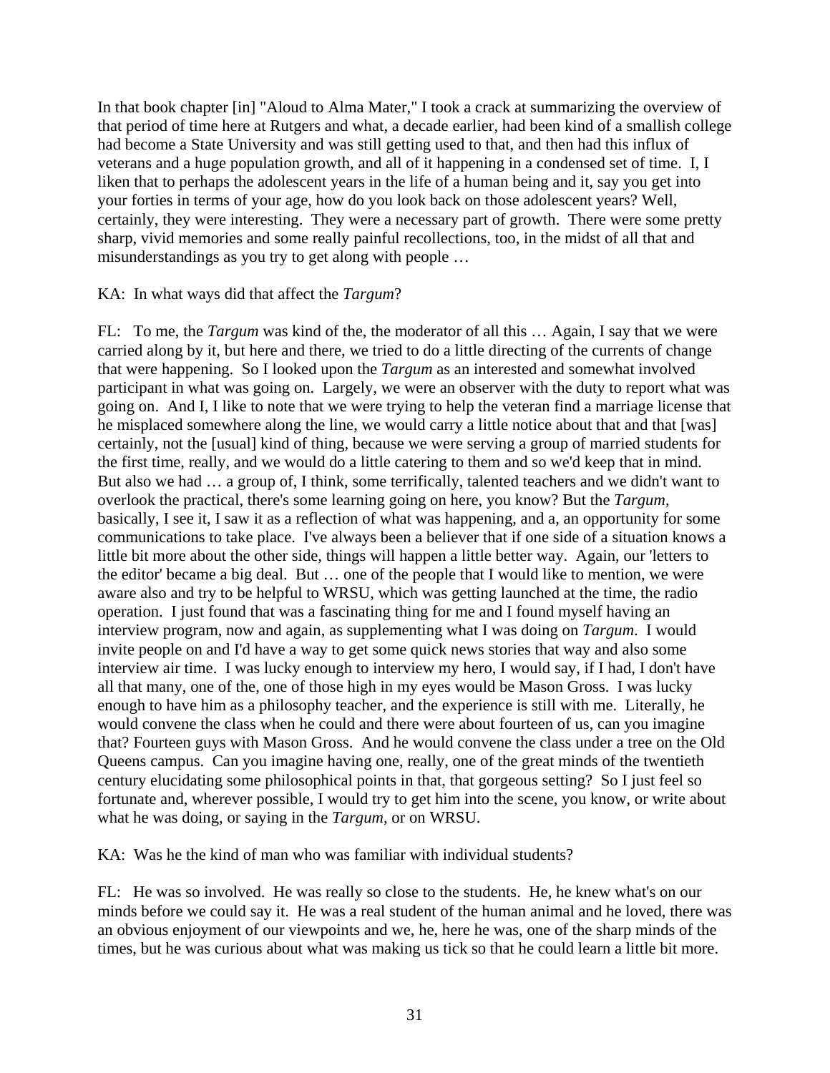In that book chapter [in] "Aloud to Alma Mater," I took a crack at summarizing the overview of that period of time here at Rutgers and what, a decade earlier, had been kind of a smallish college had become a State University and was still getting used to that, and then had this influx of veterans and a huge population growth, and all of it happening in a condensed set of time. I, I liken that to perhaps the adolescent years in the life of a human being and it, say you get into your forties in terms of your age, how do you look back on those adolescent years? Well, certainly, they were interesting. They were a necessary part of growth. There were some pretty sharp, vivid memories and some really painful recollections, too, in the midst of all that and misunderstandings as you try to get along with people …

KA: In what ways did that affect the *Targum*?

FL: To me, the *Targum* was kind of the, the moderator of all this … Again, I say that we were carried along by it, but here and there, we tried to do a little directing of the currents of change that were happening. So I looked upon the *Targum* as an interested and somewhat involved participant in what was going on. Largely, we were an observer with the duty to report what was going on. And I, I like to note that we were trying to help the veteran find a marriage license that he misplaced somewhere along the line, we would carry a little notice about that and that [was] certainly, not the [usual] kind of thing, because we were serving a group of married students for the first time, really, and we would do a little catering to them and so we'd keep that in mind. But also we had … a group of, I think, some terrifically, talented teachers and we didn't want to overlook the practical, there's some learning going on here, you know? But the *Targum*, basically, I see it, I saw it as a reflection of what was happening, and a, an opportunity for some communications to take place. I've always been a believer that if one side of a situation knows a little bit more about the other side, things will happen a little better way. Again, our 'letters to the editor' became a big deal. But … one of the people that I would like to mention, we were aware also and try to be helpful to WRSU, which was getting launched at the time, the radio operation. I just found that was a fascinating thing for me and I found myself having an interview program, now and again, as supplementing what I was doing on *Targum*. I would invite people on and I'd have a way to get some quick news stories that way and also some interview air time. I was lucky enough to interview my hero, I would say, if I had, I don't have all that many, one of the, one of those high in my eyes would be Mason Gross. I was lucky enough to have him as a philosophy teacher, and the experience is still with me. Literally, he would convene the class when he could and there were about fourteen of us, can you imagine that? Fourteen guys with Mason Gross. And he would convene the class under a tree on the Old Queens campus. Can you imagine having one, really, one of the great minds of the twentieth century elucidating some philosophical points in that, that gorgeous setting? So I just feel so fortunate and, wherever possible, I would try to get him into the scene, you know, or write about what he was doing, or saying in the *Targum,* or on WRSU.

KA: Was he the kind of man who was familiar with individual students?

FL: He was so involved. He was really so close to the students. He, he knew what's on our minds before we could say it. He was a real student of the human animal and he loved, there was an obvious enjoyment of our viewpoints and we, he, here he was, one of the sharp minds of the times, but he was curious about what was making us tick so that he could learn a little bit more.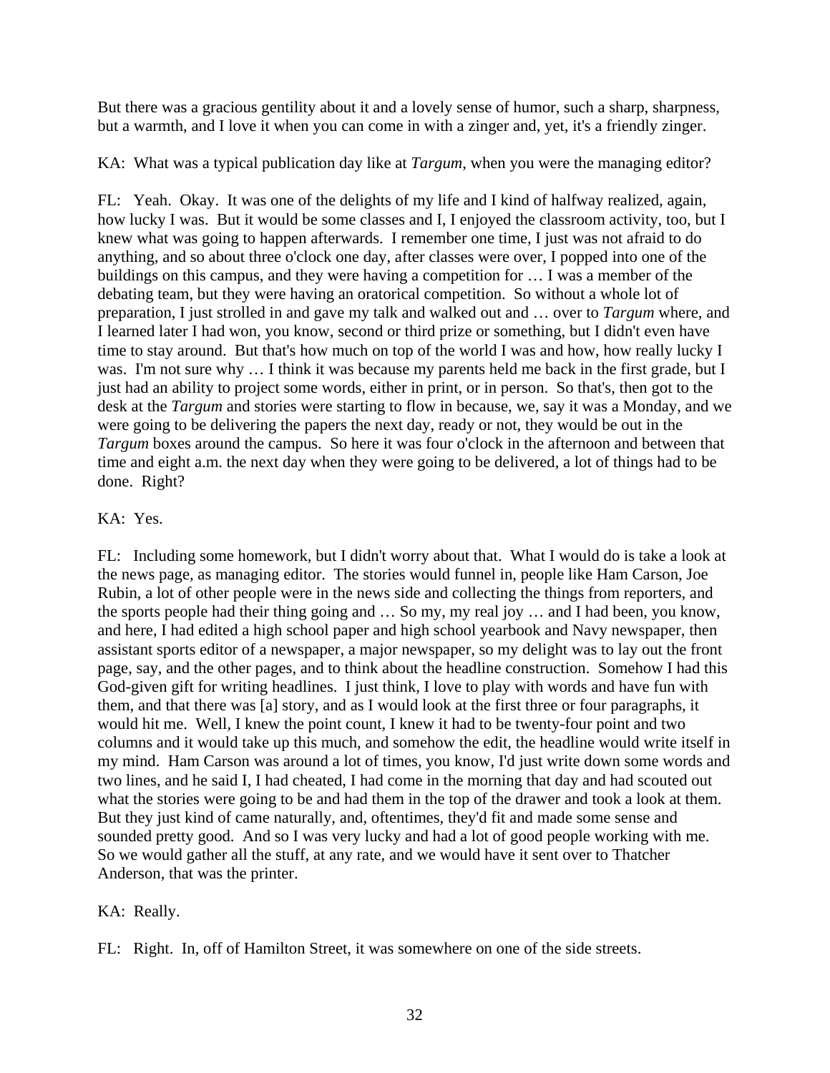But there was a gracious gentility about it and a lovely sense of humor, such a sharp, sharpness, but a warmth, and I love it when you can come in with a zinger and, yet, it's a friendly zinger.

KA: What was a typical publication day like at *Targum*, when you were the managing editor?

FL: Yeah. Okay. It was one of the delights of my life and I kind of halfway realized, again, how lucky I was. But it would be some classes and I, I enjoyed the classroom activity, too, but I knew what was going to happen afterwards. I remember one time, I just was not afraid to do anything, and so about three o'clock one day, after classes were over, I popped into one of the buildings on this campus, and they were having a competition for … I was a member of the debating team, but they were having an oratorical competition. So without a whole lot of preparation, I just strolled in and gave my talk and walked out and … over to *Targum* where, and I learned later I had won, you know, second or third prize or something, but I didn't even have time to stay around. But that's how much on top of the world I was and how, how really lucky I was. I'm not sure why … I think it was because my parents held me back in the first grade, but I just had an ability to project some words, either in print, or in person. So that's, then got to the desk at the *Targum* and stories were starting to flow in because, we, say it was a Monday, and we were going to be delivering the papers the next day, ready or not, they would be out in the *Targum* boxes around the campus. So here it was four o'clock in the afternoon and between that time and eight a.m. the next day when they were going to be delivered, a lot of things had to be done. Right?

# KA: Yes.

FL: Including some homework, but I didn't worry about that. What I would do is take a look at the news page, as managing editor. The stories would funnel in, people like Ham Carson, Joe Rubin, a lot of other people were in the news side and collecting the things from reporters, and the sports people had their thing going and … So my, my real joy … and I had been, you know, and here, I had edited a high school paper and high school yearbook and Navy newspaper, then assistant sports editor of a newspaper, a major newspaper, so my delight was to lay out the front page, say, and the other pages, and to think about the headline construction. Somehow I had this God-given gift for writing headlines. I just think, I love to play with words and have fun with them, and that there was [a] story, and as I would look at the first three or four paragraphs, it would hit me. Well, I knew the point count, I knew it had to be twenty-four point and two columns and it would take up this much, and somehow the edit, the headline would write itself in my mind. Ham Carson was around a lot of times, you know, I'd just write down some words and two lines, and he said I, I had cheated, I had come in the morning that day and had scouted out what the stories were going to be and had them in the top of the drawer and took a look at them. But they just kind of came naturally, and, oftentimes, they'd fit and made some sense and sounded pretty good. And so I was very lucky and had a lot of good people working with me. So we would gather all the stuff, at any rate, and we would have it sent over to Thatcher Anderson, that was the printer.

# KA: Really.

FL: Right. In, off of Hamilton Street, it was somewhere on one of the side streets.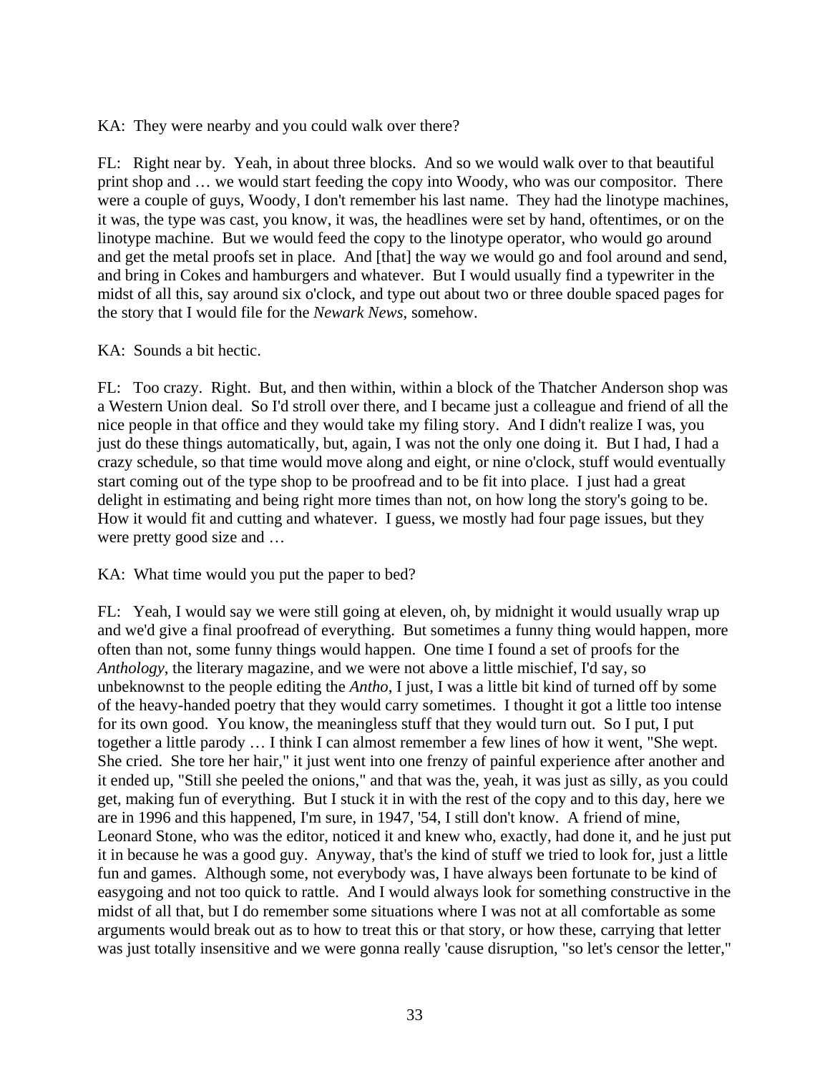KA: They were nearby and you could walk over there?

FL: Right near by. Yeah, in about three blocks. And so we would walk over to that beautiful print shop and … we would start feeding the copy into Woody, who was our compositor. There were a couple of guys, Woody, I don't remember his last name. They had the linotype machines, it was, the type was cast, you know, it was, the headlines were set by hand, oftentimes, or on the linotype machine. But we would feed the copy to the linotype operator, who would go around and get the metal proofs set in place. And [that] the way we would go and fool around and send, and bring in Cokes and hamburgers and whatever. But I would usually find a typewriter in the midst of all this, say around six o'clock, and type out about two or three double spaced pages for the story that I would file for the *Newark News*, somehow.

KA: Sounds a bit hectic.

FL: Too crazy. Right. But, and then within, within a block of the Thatcher Anderson shop was a Western Union deal. So I'd stroll over there, and I became just a colleague and friend of all the nice people in that office and they would take my filing story. And I didn't realize I was, you just do these things automatically, but, again, I was not the only one doing it. But I had, I had a crazy schedule, so that time would move along and eight, or nine o'clock, stuff would eventually start coming out of the type shop to be proofread and to be fit into place. I just had a great delight in estimating and being right more times than not, on how long the story's going to be. How it would fit and cutting and whatever. I guess, we mostly had four page issues, but they were pretty good size and …

KA: What time would you put the paper to bed?

FL: Yeah, I would say we were still going at eleven, oh, by midnight it would usually wrap up and we'd give a final proofread of everything. But sometimes a funny thing would happen, more often than not, some funny things would happen. One time I found a set of proofs for the *Anthology*, the literary magazine, and we were not above a little mischief, I'd say, so unbeknownst to the people editing the *Antho*, I just, I was a little bit kind of turned off by some of the heavy-handed poetry that they would carry sometimes. I thought it got a little too intense for its own good. You know, the meaningless stuff that they would turn out. So I put, I put together a little parody … I think I can almost remember a few lines of how it went, "She wept. She cried. She tore her hair," it just went into one frenzy of painful experience after another and it ended up, "Still she peeled the onions," and that was the, yeah, it was just as silly, as you could get, making fun of everything. But I stuck it in with the rest of the copy and to this day, here we are in 1996 and this happened, I'm sure, in 1947, '54, I still don't know. A friend of mine, Leonard Stone, who was the editor, noticed it and knew who, exactly, had done it, and he just put it in because he was a good guy. Anyway, that's the kind of stuff we tried to look for, just a little fun and games. Although some, not everybody was, I have always been fortunate to be kind of easygoing and not too quick to rattle. And I would always look for something constructive in the midst of all that, but I do remember some situations where I was not at all comfortable as some arguments would break out as to how to treat this or that story, or how these, carrying that letter was just totally insensitive and we were gonna really 'cause disruption, "so let's censor the letter,"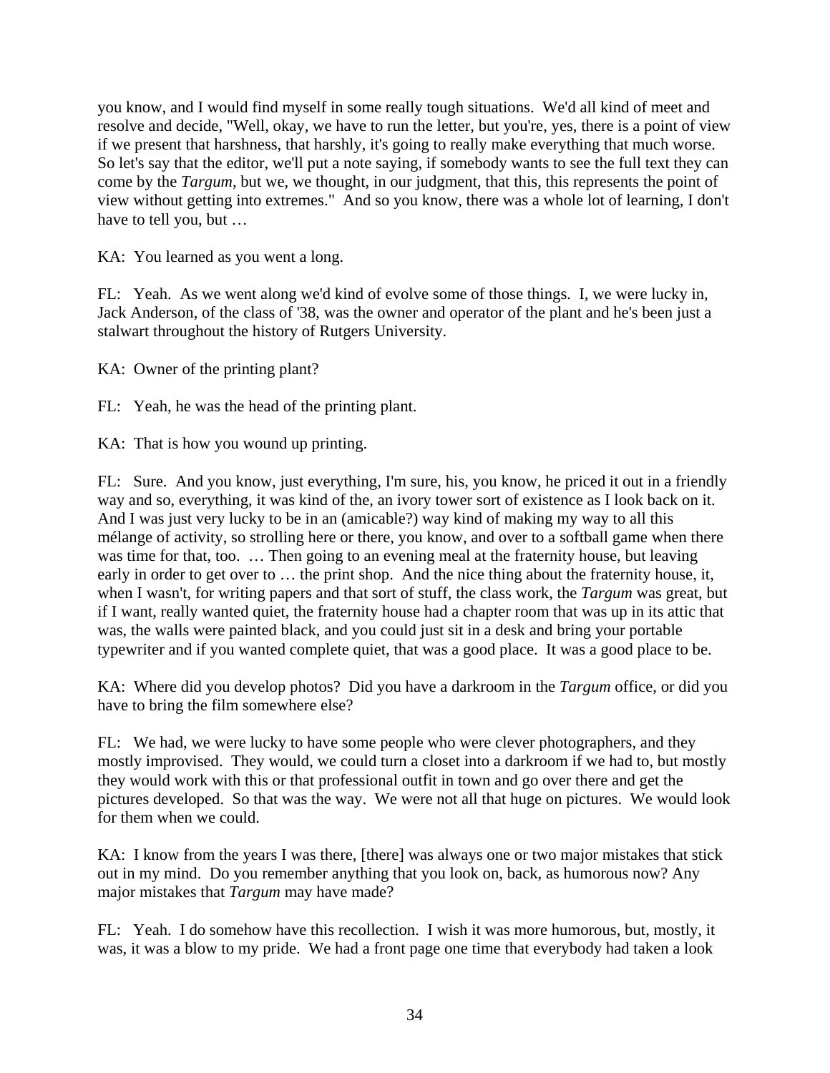you know, and I would find myself in some really tough situations. We'd all kind of meet and resolve and decide, "Well, okay, we have to run the letter, but you're, yes, there is a point of view if we present that harshness, that harshly, it's going to really make everything that much worse. So let's say that the editor, we'll put a note saying, if somebody wants to see the full text they can come by the *Targum*, but we, we thought, in our judgment, that this, this represents the point of view without getting into extremes." And so you know, there was a whole lot of learning, I don't have to tell you, but …

KA: You learned as you went a long.

FL: Yeah. As we went along we'd kind of evolve some of those things. I, we were lucky in, Jack Anderson, of the class of '38, was the owner and operator of the plant and he's been just a stalwart throughout the history of Rutgers University.

KA: Owner of the printing plant?

FL: Yeah, he was the head of the printing plant.

KA: That is how you wound up printing.

FL: Sure. And you know, just everything, I'm sure, his, you know, he priced it out in a friendly way and so, everything, it was kind of the, an ivory tower sort of existence as I look back on it. And I was just very lucky to be in an (amicable?) way kind of making my way to all this mélange of activity, so strolling here or there, you know, and over to a softball game when there was time for that, too. ... Then going to an evening meal at the fraternity house, but leaving early in order to get over to … the print shop. And the nice thing about the fraternity house, it, when I wasn't, for writing papers and that sort of stuff, the class work, the *Targum* was great, but if I want, really wanted quiet, the fraternity house had a chapter room that was up in its attic that was, the walls were painted black, and you could just sit in a desk and bring your portable typewriter and if you wanted complete quiet, that was a good place. It was a good place to be.

KA: Where did you develop photos? Did you have a darkroom in the *Targum* office, or did you have to bring the film somewhere else?

FL: We had, we were lucky to have some people who were clever photographers, and they mostly improvised. They would, we could turn a closet into a darkroom if we had to, but mostly they would work with this or that professional outfit in town and go over there and get the pictures developed. So that was the way. We were not all that huge on pictures. We would look for them when we could.

KA: I know from the years I was there, [there] was always one or two major mistakes that stick out in my mind. Do you remember anything that you look on, back, as humorous now? Any major mistakes that *Targum* may have made?

FL: Yeah. I do somehow have this recollection. I wish it was more humorous, but, mostly, it was, it was a blow to my pride. We had a front page one time that everybody had taken a look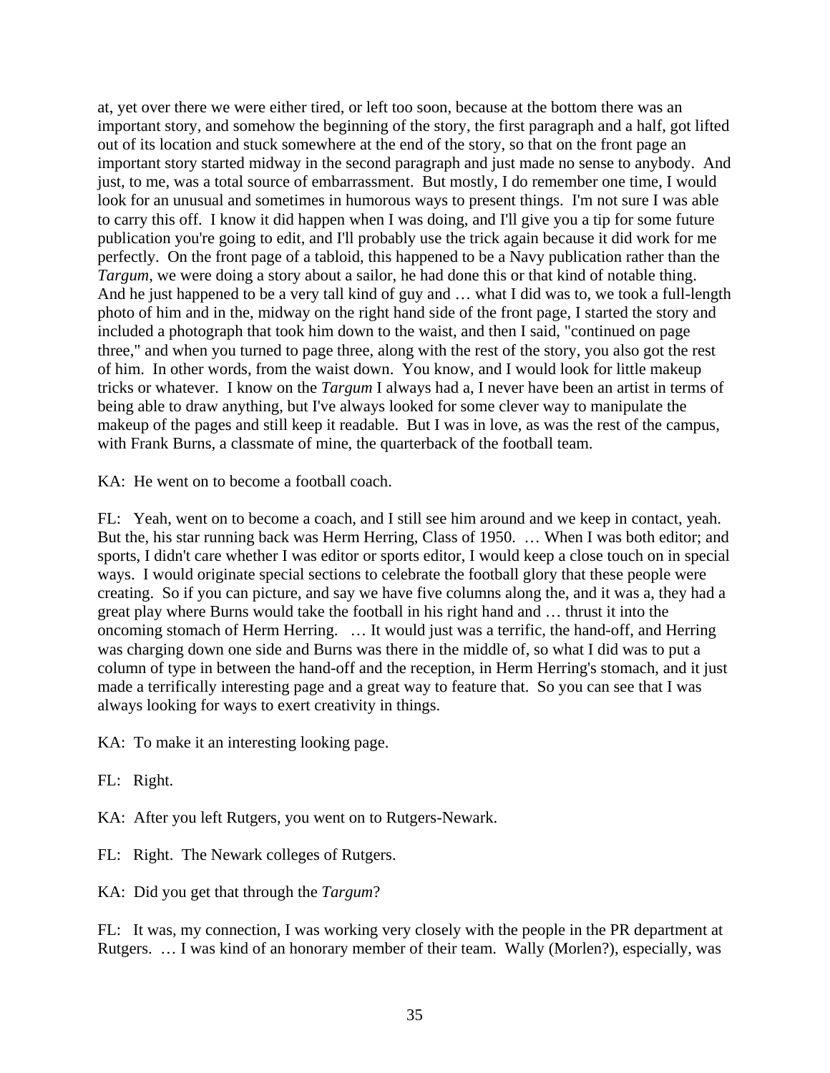at, yet over there we were either tired, or left too soon, because at the bottom there was an important story, and somehow the beginning of the story, the first paragraph and a half, got lifted out of its location and stuck somewhere at the end of the story, so that on the front page an important story started midway in the second paragraph and just made no sense to anybody. And just, to me, was a total source of embarrassment. But mostly, I do remember one time, I would look for an unusual and sometimes in humorous ways to present things. I'm not sure I was able to carry this off. I know it did happen when I was doing, and I'll give you a tip for some future publication you're going to edit, and I'll probably use the trick again because it did work for me perfectly. On the front page of a tabloid, this happened to be a Navy publication rather than the *Targum*, we were doing a story about a sailor, he had done this or that kind of notable thing. And he just happened to be a very tall kind of guy and … what I did was to, we took a full-length photo of him and in the, midway on the right hand side of the front page, I started the story and included a photograph that took him down to the waist, and then I said, "continued on page three," and when you turned to page three, along with the rest of the story, you also got the rest of him. In other words, from the waist down. You know, and I would look for little makeup tricks or whatever. I know on the *Targum* I always had a, I never have been an artist in terms of being able to draw anything, but I've always looked for some clever way to manipulate the makeup of the pages and still keep it readable. But I was in love, as was the rest of the campus, with Frank Burns, a classmate of mine, the quarterback of the football team.

KA: He went on to become a football coach.

FL: Yeah, went on to become a coach, and I still see him around and we keep in contact, yeah. But the, his star running back was Herm Herring, Class of 1950. … When I was both editor; and sports, I didn't care whether I was editor or sports editor, I would keep a close touch on in special ways. I would originate special sections to celebrate the football glory that these people were creating. So if you can picture, and say we have five columns along the, and it was a, they had a great play where Burns would take the football in his right hand and … thrust it into the oncoming stomach of Herm Herring. … It would just was a terrific, the hand-off, and Herring was charging down one side and Burns was there in the middle of, so what I did was to put a column of type in between the hand-off and the reception, in Herm Herring's stomach, and it just made a terrifically interesting page and a great way to feature that. So you can see that I was always looking for ways to exert creativity in things.

KA: To make it an interesting looking page.

FL: Right.

KA: After you left Rutgers, you went on to Rutgers-Newark.

- FL: Right. The Newark colleges of Rutgers.
- KA: Did you get that through the *Targum*?

FL: It was, my connection, I was working very closely with the people in the PR department at Rutgers. … I was kind of an honorary member of their team. Wally (Morlen?), especially, was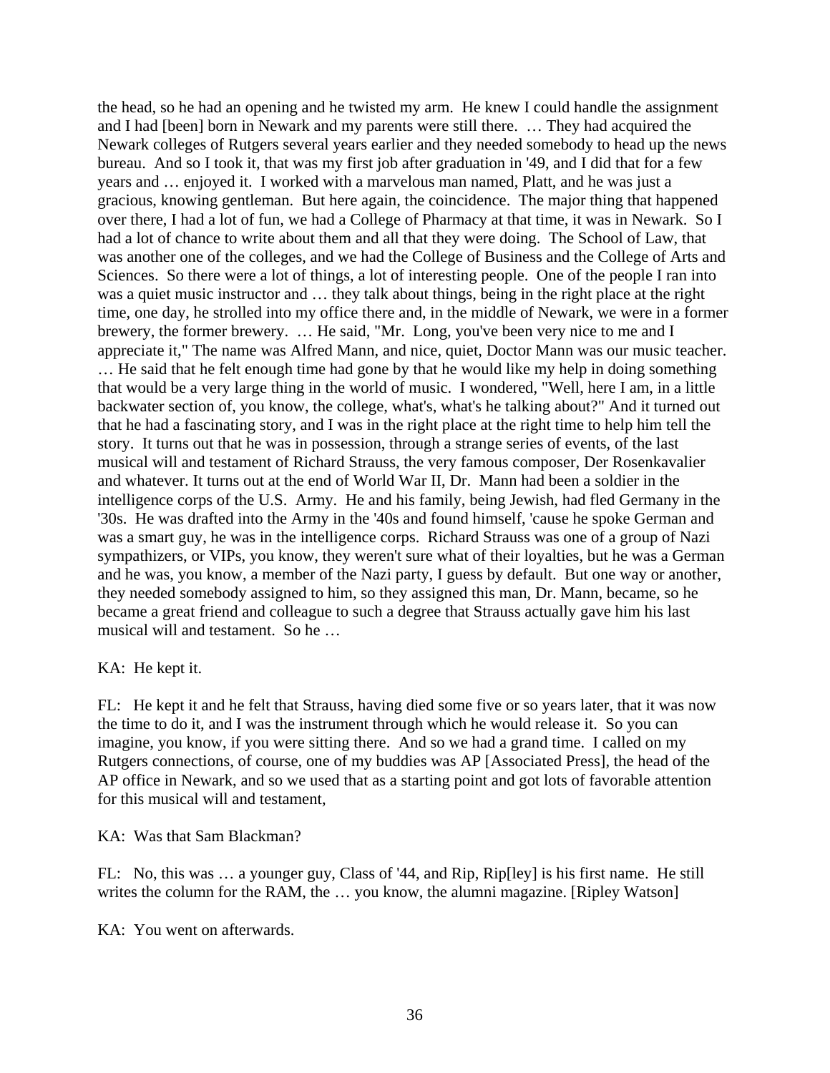the head, so he had an opening and he twisted my arm. He knew I could handle the assignment and I had [been] born in Newark and my parents were still there. … They had acquired the Newark colleges of Rutgers several years earlier and they needed somebody to head up the news bureau. And so I took it, that was my first job after graduation in '49, and I did that for a few years and … enjoyed it. I worked with a marvelous man named, Platt, and he was just a gracious, knowing gentleman. But here again, the coincidence. The major thing that happened over there, I had a lot of fun, we had a College of Pharmacy at that time, it was in Newark. So I had a lot of chance to write about them and all that they were doing. The School of Law, that was another one of the colleges, and we had the College of Business and the College of Arts and Sciences. So there were a lot of things, a lot of interesting people. One of the people I ran into was a quiet music instructor and … they talk about things, being in the right place at the right time, one day, he strolled into my office there and, in the middle of Newark, we were in a former brewery, the former brewery. … He said, "Mr. Long, you've been very nice to me and I appreciate it," The name was Alfred Mann, and nice, quiet, Doctor Mann was our music teacher. … He said that he felt enough time had gone by that he would like my help in doing something that would be a very large thing in the world of music. I wondered, "Well, here I am, in a little backwater section of, you know, the college, what's, what's he talking about?" And it turned out that he had a fascinating story, and I was in the right place at the right time to help him tell the story. It turns out that he was in possession, through a strange series of events, of the last musical will and testament of Richard Strauss, the very famous composer, Der Rosenkavalier and whatever. It turns out at the end of World War II, Dr. Mann had been a soldier in the intelligence corps of the U.S. Army. He and his family, being Jewish, had fled Germany in the '30s. He was drafted into the Army in the '40s and found himself, 'cause he spoke German and was a smart guy, he was in the intelligence corps. Richard Strauss was one of a group of Nazi sympathizers, or VIPs, you know, they weren't sure what of their loyalties, but he was a German and he was, you know, a member of the Nazi party, I guess by default. But one way or another, they needed somebody assigned to him, so they assigned this man, Dr. Mann, became, so he became a great friend and colleague to such a degree that Strauss actually gave him his last musical will and testament. So he …

#### KA: He kept it.

FL: He kept it and he felt that Strauss, having died some five or so years later, that it was now the time to do it, and I was the instrument through which he would release it. So you can imagine, you know, if you were sitting there. And so we had a grand time. I called on my Rutgers connections, of course, one of my buddies was AP [Associated Press], the head of the AP office in Newark, and so we used that as a starting point and got lots of favorable attention for this musical will and testament,

#### KA: Was that Sam Blackman?

FL: No, this was … a younger guy, Class of '44, and Rip, Rip[ley] is his first name. He still writes the column for the RAM, the ... you know, the alumni magazine. [Ripley Watson]

KA: You went on afterwards.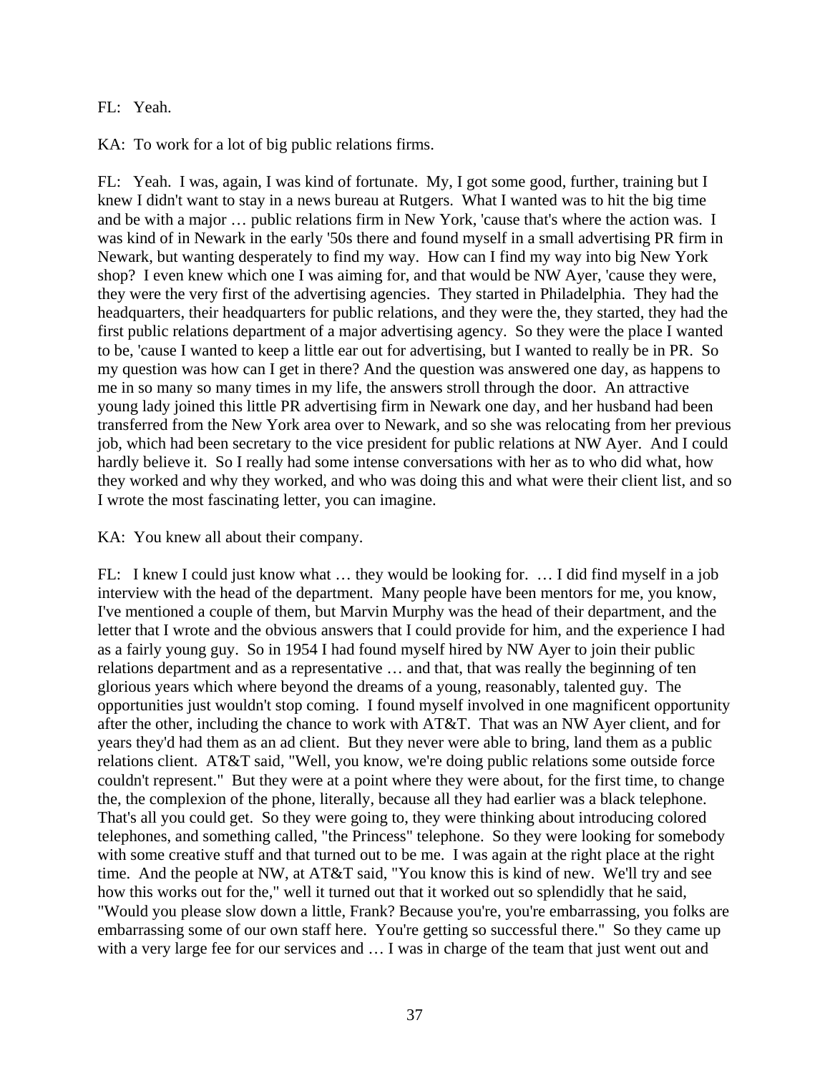## FL: Yeah.

KA: To work for a lot of big public relations firms.

FL: Yeah. I was, again, I was kind of fortunate. My, I got some good, further, training but I knew I didn't want to stay in a news bureau at Rutgers. What I wanted was to hit the big time and be with a major … public relations firm in New York, 'cause that's where the action was. I was kind of in Newark in the early '50s there and found myself in a small advertising PR firm in Newark, but wanting desperately to find my way. How can I find my way into big New York shop? I even knew which one I was aiming for, and that would be NW Ayer, 'cause they were, they were the very first of the advertising agencies. They started in Philadelphia. They had the headquarters, their headquarters for public relations, and they were the, they started, they had the first public relations department of a major advertising agency. So they were the place I wanted to be, 'cause I wanted to keep a little ear out for advertising, but I wanted to really be in PR. So my question was how can I get in there? And the question was answered one day, as happens to me in so many so many times in my life, the answers stroll through the door. An attractive young lady joined this little PR advertising firm in Newark one day, and her husband had been transferred from the New York area over to Newark, and so she was relocating from her previous job, which had been secretary to the vice president for public relations at NW Ayer. And I could hardly believe it. So I really had some intense conversations with her as to who did what, how they worked and why they worked, and who was doing this and what were their client list, and so I wrote the most fascinating letter, you can imagine.

#### KA: You knew all about their company.

FL: I knew I could just know what … they would be looking for. … I did find myself in a job interview with the head of the department. Many people have been mentors for me, you know, I've mentioned a couple of them, but Marvin Murphy was the head of their department, and the letter that I wrote and the obvious answers that I could provide for him, and the experience I had as a fairly young guy. So in 1954 I had found myself hired by NW Ayer to join their public relations department and as a representative … and that, that was really the beginning of ten glorious years which where beyond the dreams of a young, reasonably, talented guy. The opportunities just wouldn't stop coming. I found myself involved in one magnificent opportunity after the other, including the chance to work with AT&T. That was an NW Ayer client, and for years they'd had them as an ad client. But they never were able to bring, land them as a public relations client. AT&T said, "Well, you know, we're doing public relations some outside force couldn't represent." But they were at a point where they were about, for the first time, to change the, the complexion of the phone, literally, because all they had earlier was a black telephone. That's all you could get. So they were going to, they were thinking about introducing colored telephones, and something called, "the Princess" telephone. So they were looking for somebody with some creative stuff and that turned out to be me. I was again at the right place at the right time. And the people at NW, at AT&T said, "You know this is kind of new. We'll try and see how this works out for the," well it turned out that it worked out so splendidly that he said, "Would you please slow down a little, Frank? Because you're, you're embarrassing, you folks are embarrassing some of our own staff here. You're getting so successful there." So they came up with a very large fee for our services and  $\dots$  I was in charge of the team that just went out and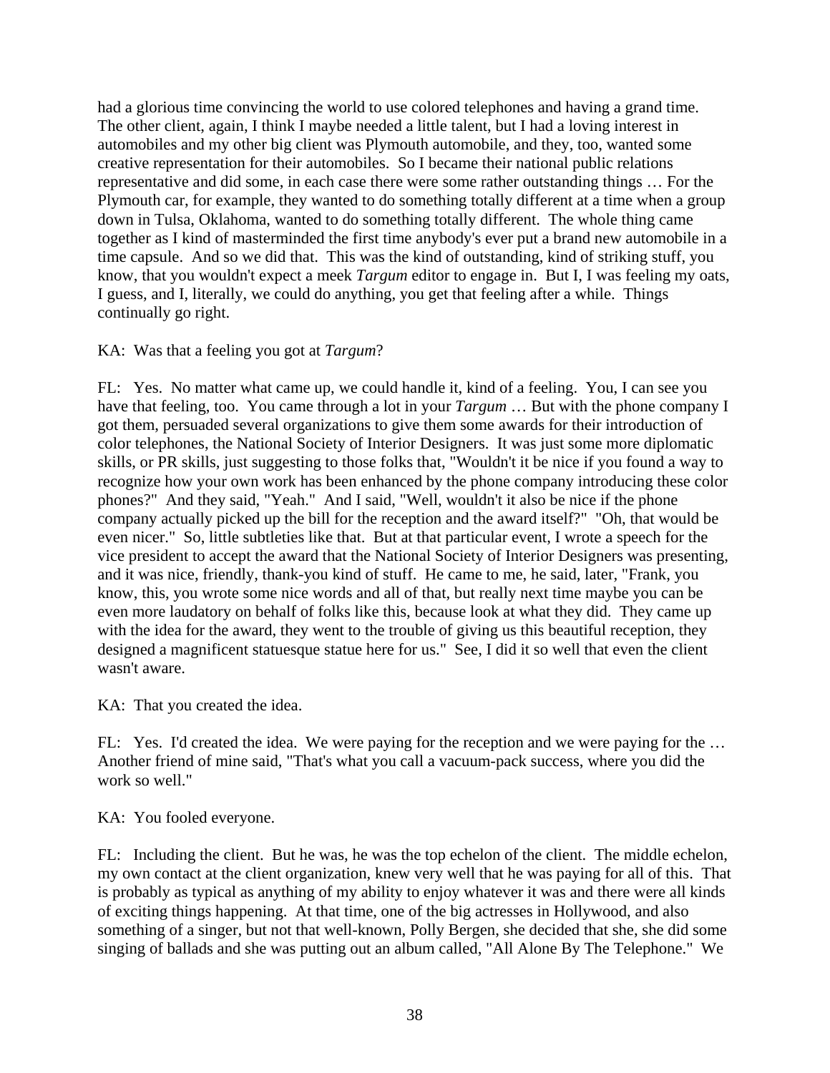had a glorious time convincing the world to use colored telephones and having a grand time. The other client, again, I think I maybe needed a little talent, but I had a loving interest in automobiles and my other big client was Plymouth automobile, and they, too, wanted some creative representation for their automobiles. So I became their national public relations representative and did some, in each case there were some rather outstanding things … For the Plymouth car, for example, they wanted to do something totally different at a time when a group down in Tulsa, Oklahoma, wanted to do something totally different. The whole thing came together as I kind of masterminded the first time anybody's ever put a brand new automobile in a time capsule. And so we did that. This was the kind of outstanding, kind of striking stuff, you know, that you wouldn't expect a meek *Targum* editor to engage in. But I, I was feeling my oats, I guess, and I, literally, we could do anything, you get that feeling after a while. Things continually go right.

## KA: Was that a feeling you got at *Targum*?

FL: Yes. No matter what came up, we could handle it, kind of a feeling. You, I can see you have that feeling, too. You came through a lot in your *Targum* … But with the phone company I got them, persuaded several organizations to give them some awards for their introduction of color telephones, the National Society of Interior Designers. It was just some more diplomatic skills, or PR skills, just suggesting to those folks that, "Wouldn't it be nice if you found a way to recognize how your own work has been enhanced by the phone company introducing these color phones?" And they said, "Yeah." And I said, "Well, wouldn't it also be nice if the phone company actually picked up the bill for the reception and the award itself?" "Oh, that would be even nicer." So, little subtleties like that. But at that particular event, I wrote a speech for the vice president to accept the award that the National Society of Interior Designers was presenting, and it was nice, friendly, thank-you kind of stuff. He came to me, he said, later, "Frank, you know, this, you wrote some nice words and all of that, but really next time maybe you can be even more laudatory on behalf of folks like this, because look at what they did. They came up with the idea for the award, they went to the trouble of giving us this beautiful reception, they designed a magnificent statuesque statue here for us." See, I did it so well that even the client wasn't aware.

KA: That you created the idea.

FL: Yes. I'd created the idea. We were paying for the reception and we were paying for the ... Another friend of mine said, "That's what you call a vacuum-pack success, where you did the work so well."

KA: You fooled everyone.

FL: Including the client. But he was, he was the top echelon of the client. The middle echelon, my own contact at the client organization, knew very well that he was paying for all of this. That is probably as typical as anything of my ability to enjoy whatever it was and there were all kinds of exciting things happening. At that time, one of the big actresses in Hollywood, and also something of a singer, but not that well-known, Polly Bergen, she decided that she, she did some singing of ballads and she was putting out an album called, "All Alone By The Telephone." We